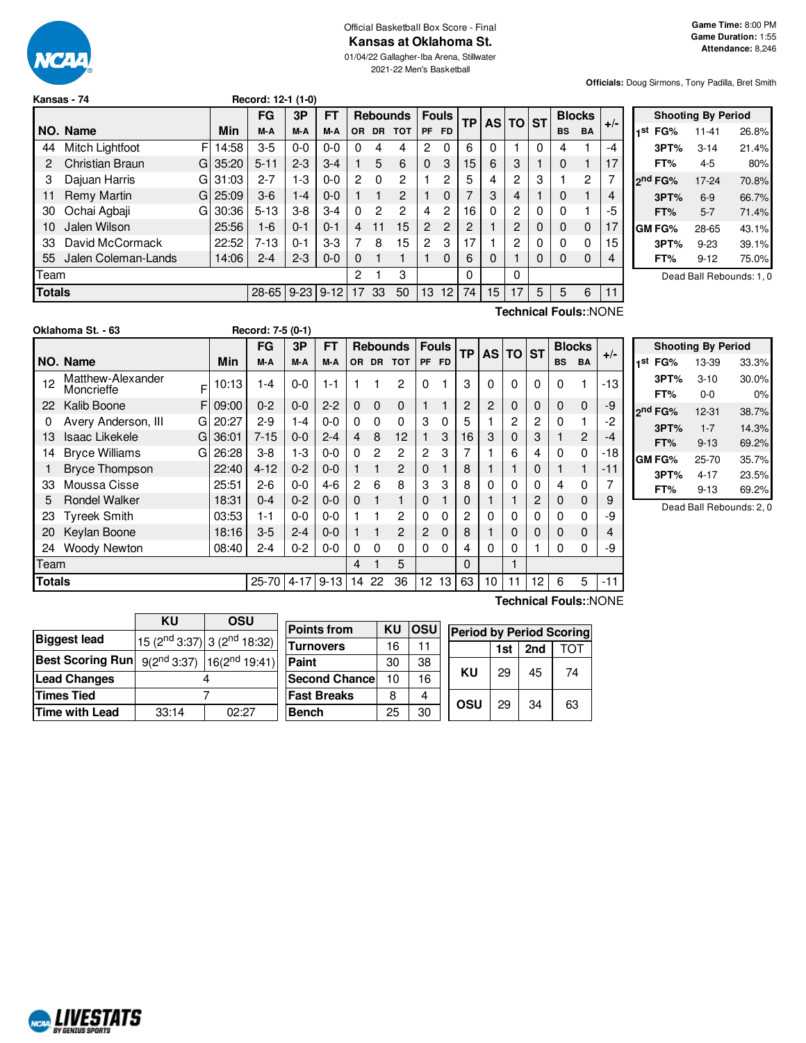

#### Official Basketball Box Score - Final **Kansas at Oklahoma St.**

01/04/22 Gallagher-Iba Arena, Stillwater 2021-22 Men's Basketball

**Officials:** Doug Sirmons, Tony Padilla, Bret Smith

|               | Kansas - 74         |    |                       | Record: 12-1 (1-0) |             |                 |          |           |              |                |                 |           |    |    |               |           |             |       |                     |
|---------------|---------------------|----|-----------------------|--------------------|-------------|-----------------|----------|-----------|--------------|----------------|-----------------|-----------|----|----|---------------|-----------|-------------|-------|---------------------|
|               |                     |    | <b>FT</b><br>FG<br>3P |                    |             | <b>Rebounds</b> |          |           | <b>Fouls</b> |                |                 | AS TO ST  |    |    | <b>Blocks</b> |           | Sho         |       |                     |
|               | I NO. Name          |    | Min                   | M-A                | M-A         | M-A             | OR.      | <b>DR</b> | <b>TOT</b>   | <b>PF</b>      | <b>FD</b>       | <b>TP</b> |    |    |               | <b>BS</b> | <b>BA</b>   | $+/-$ | FG%<br>1st          |
| 44            | Mitch Lightfoot     | F  | 14:58                 | $3-5$              | $0 - 0$     | $0 - 0$         |          |           | 4            | 2              | 0               | 6         | 0  |    |               | 4         |             | -4 .  | 3PT <sup>o</sup>    |
|               | Christian Braun     | GI | 35:20                 | $5 - 11$           | $2-3$       | $3-4$           |          | 5         | 6            | 0              | 3               | 15        | 6  | 3  |               | $\Omega$  |             | 17    | FT%                 |
|               | Dajuan Harris       | G  | 31:03                 | $2 - 7$            | 1-3         | $0 - 0$         | 2        | 0         | 2            |                | 2               | 5         | 4  | 2  | 3             |           | 2           | 7     | 2 <sup>nd</sup> FG% |
| 11            | Remy Martin         | G  | 25:09                 | $3-6$              | $-4$        | $0-0$           |          |           | 2            |                | 0               |           | 3  | 4  |               | 0         |             | 4     | 3PT <sup>o</sup>    |
| 30            | Ochai Agbaji        | G  | 30:36                 | $5 - 13$           | $3-8$       | $3 - 4$         | $\Omega$ | 2         | 2            | 4              | $\mathbf{2}$    | 16        | 0  | 2  | 0             | $\Omega$  |             | -5    | FT%                 |
| 10            | Jalen Wilson        |    | 25:56                 | $1-6$              | $0 - 1$     | $0 - 1$         | 4        | 11        | 15           | $\overline{2}$ | $\overline{2}$  | 2         |    | 2  |               | 0         | $\mathbf 0$ | 17    | <b>GM FG%</b>       |
| 33            | David McCormack     |    | 22:52                 | $7-13$             | $0 - 1$     | $3-3$           |          | 8         | 15           | $\mathbf{2}$   | 3               | 17        |    | 2  |               | $\Omega$  | 0           | 15    | 3PT <sup>o</sup>    |
| 55            | Jalen Coleman-Lands |    | 14:06                 | $2 - 4$            | $2 - 3$     | $0-0$           | $\Omega$ |           |              |                | $\Omega$        | 6         | 0  |    | 0             | $\Omega$  | 0           | 4     | FT%                 |
| Team          |                     |    |                       |                    |             |                 | 2        |           | 3            |                |                 | $\Omega$  |    | 0  |               |           |             |       | Dea                 |
| <b>Totals</b> |                     |    |                       | $28 - 65$          | $9-23$ 9-12 |                 | 17       | 33        | 50           | 13             | 12 <sub>1</sub> | 74        | 15 | 17 | 5             | 5         | 6           | 11    |                     |

|     |                     | <b>Shooting By Period</b> |       |  |  |  |  |  |
|-----|---------------------|---------------------------|-------|--|--|--|--|--|
| 1st | FG%                 | $11 - 41$                 | 26.8% |  |  |  |  |  |
|     | 3PT%                | $3 - 14$                  | 21.4% |  |  |  |  |  |
|     | FT%                 | 4-5                       | 80%   |  |  |  |  |  |
|     | 2 <sup>nd</sup> FG% | 17-24                     | 70.8% |  |  |  |  |  |
|     | 3PT%                | $6-9$                     | 66.7% |  |  |  |  |  |
|     | FT%                 | $5 - 7$                   | 71.4% |  |  |  |  |  |
|     | GM FG%              | 28-65                     | 43.1% |  |  |  |  |  |
|     | 3PT%                | $9 - 23$                  | 39.1% |  |  |  |  |  |
|     | FT%                 | $9 - 12$                  | 75.0% |  |  |  |  |  |
|     |                     |                           |       |  |  |  |  |  |

ad Ball Rebounds: 1, 0

| Oklahoma St. - 63 |  |
|-------------------|--|
|-------------------|--|

**Oklahoma St. - 63 Record: 7-5 (0-1)**

F F 09:00 G 20:27  $G$  36:01  $G$  26:28 **NO. Name Min FG 3P FT Rebounds Fouls TP AS TO ST**  $\begin{bmatrix} \mathsf{FG} & \mathsf{3P} & \mathsf{FT} \\ \mathsf{M-A} & \mathsf{M-A} & \mathsf{OR} & \mathsf{DR} & \mathsf{TOT} \end{bmatrix}$   $\begin{bmatrix} \mathsf{Fouls} \\ \mathsf{PF} & \mathsf{FD} \end{bmatrix}$   $\begin{bmatrix} \mathsf{AG} & \mathsf{ST} \end{bmatrix}$   $\begin{bmatrix} \mathsf{BIOcks} \\ \mathsf{BS} & \mathsf{BA} \end{bmatrix}$  +/-12 Matthew-Alexander Moncrieffe 10:13 | 1-4 | 0-0 | 1-1 | 1 | 1 | 2 | 0 | 1 | 3 | 0 | 0 | 0 | 0 | 0 | 1 | -13 | 22 Kalib Boone F 09:00 | 0-2 | 0-0 | 2-2 | 0 0 0 | 1 1 | 2 | 2 | 0 | 0 | 0 | 0 | -9 0 Avery Anderson, III G 20:27 2-9 1-4 0-0 0 0 0 3 0 5 1 2 2 0 1 -2 13 Isaac Likekele 36:01 | 7-15 | 0-0 | 2-4 | 4 | 8 | 12 | 1 | 3 | 16 | 3 | 0 | 3 | 1 | 2 | -4 14 Bryce Williams G 26:28 3-8 1-3 0-0 0 2 2 2 3 7 1 6 4 0 0 -18 1 Bryce Thompson 22:40 | 4-12 | 0-2 | 0-0 | 1 1 2 | 0 1 | 8 | 1 | 1 | 0 | 1 1 | -11 33 Moussa Cisse 25:51 2-6 0-0 4-6 2 6 8 3 3 8 0 0 0 4 0 7 5 Rondel Walker | 18:31 | 0-4 | 0-2 | 0-0 | 0 | 0 | 1 | 1 | 0 | 1 | 1 | 1 | 2 | 0 | 0 | 9 23 Tyreek Smith 03:53 1-1 0-0 0-0 1 1 2 0 0 2 0 0 0 0 0 -9 20 Keylan Boone | 18:16 | 3-5 | 2-4 | 0-0 | 1 | 1 | 2 | 2 | 0 | 8 | 1 | 0 | 0 | 0 | 0 | 4 24 Woody Newton 08:40 2-4 0-2 0-0 0 0 0 0 0 4 0 0 1 0 0 -9 Team 4 1 5 0 1 **Totals** 25-70 4-17 9-13 14 22 36 12 13 63 10 11 12 6 5 -11

|     | <b>Shooting By Period</b> |           |       |  |  |  |  |  |  |  |  |  |  |
|-----|---------------------------|-----------|-------|--|--|--|--|--|--|--|--|--|--|
| 1st | FG%                       | 13-39     | 33.3% |  |  |  |  |  |  |  |  |  |  |
|     | 3PT%                      | $3 - 10$  | 30.0% |  |  |  |  |  |  |  |  |  |  |
|     | FT%                       | $0 - 0$   | 0%    |  |  |  |  |  |  |  |  |  |  |
|     | 2 <sup>nd</sup> FG%       | 12-31     | 38.7% |  |  |  |  |  |  |  |  |  |  |
|     | 3PT%                      | $1 - 7$   | 14.3% |  |  |  |  |  |  |  |  |  |  |
|     | FT%                       | $9 - 13$  | 69.2% |  |  |  |  |  |  |  |  |  |  |
|     | <b>GM FG%</b>             | $25 - 70$ | 35.7% |  |  |  |  |  |  |  |  |  |  |
|     | 3PT%                      | $4 - 17$  | 23.5% |  |  |  |  |  |  |  |  |  |  |
|     | FT%                       | $9 - 13$  | 69.2% |  |  |  |  |  |  |  |  |  |  |

Dead Ball Rebounds: 2, 0

|                                                    | ΚU    | OSU                                        |                      |    |      |                                 |     |     |     |  |
|----------------------------------------------------|-------|--------------------------------------------|----------------------|----|------|---------------------------------|-----|-----|-----|--|
|                                                    |       |                                            | <b>Points from</b>   | KU | losu | <b>Period by Period Scoring</b> |     |     |     |  |
| <b>Biggest lead</b>                                |       | $15(2^{nd}3:37)$ 3 (2 <sup>nd</sup> 18:32) | <b>Turnovers</b>     | 16 | 11   |                                 |     | 2nd | тот |  |
|                                                    |       |                                            |                      |    |      |                                 | 1st |     |     |  |
| Best Scoring Run $ 9(2^{nd}3:37) 16(2^{nd}19:41) $ |       |                                            | Paint                | 30 | 38   |                                 |     |     |     |  |
| <b>Lead Changes</b>                                |       | 4                                          | <b>Second Chance</b> | 10 | 16   | <b>KU</b>                       | 29  | 45  | 74  |  |
| <b>Times Tied</b>                                  |       | <b>Fast Breaks</b>                         | 8                    | 4  | OSU  | 29                              | 34  | 63  |     |  |
| Time with Lead                                     | 33:14 | 02:27                                      | <b>Bench</b>         | 25 | 30   |                                 |     |     |     |  |

**Technical Fouls:**:NONE

**Technical Fouls:**:NONE

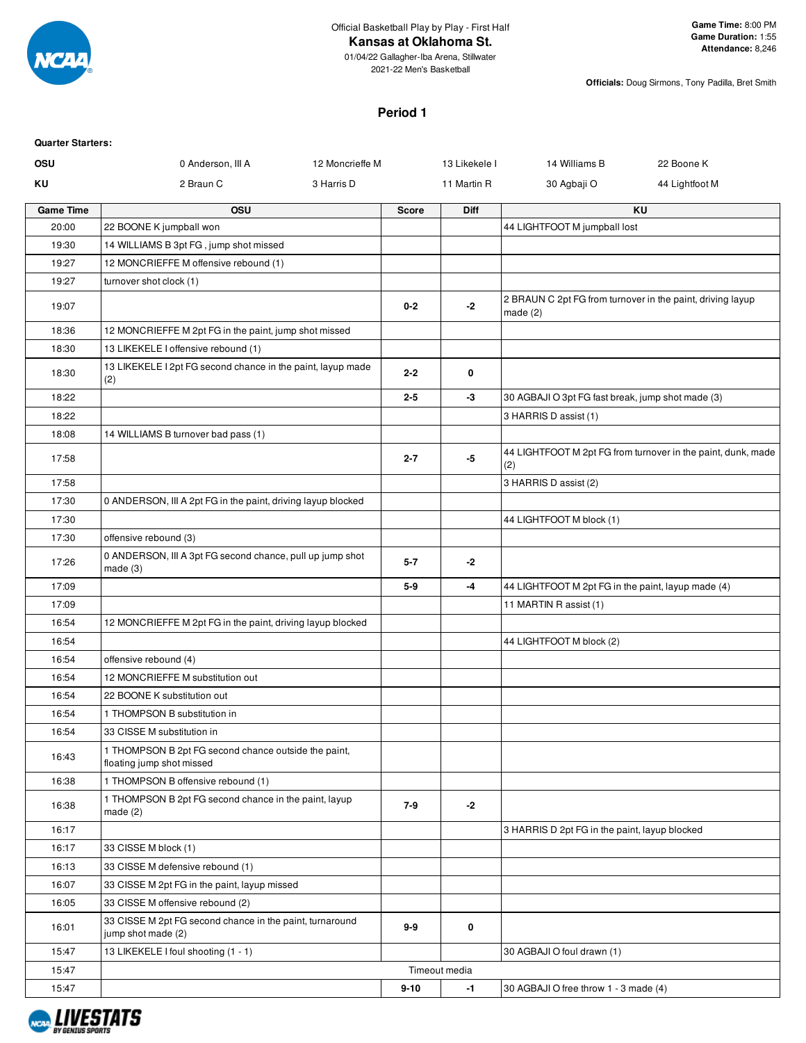

#### **Kansas at Oklahoma St.**

01/04/22 Gallagher-Iba Arena, Stillwater 2021-22 Men's Basketball

**Officials:** Doug Sirmons, Tony Padilla, Bret Smith

#### **Period 1**

| <b>Quarter Starters:</b> |                                                                                   |                 |                      |                                                    |                                                              |
|--------------------------|-----------------------------------------------------------------------------------|-----------------|----------------------|----------------------------------------------------|--------------------------------------------------------------|
| <b>OSU</b>               | 0 Anderson, III A                                                                 | 12 Moncrieffe M | 13 Likekele I        | 14 Williams B                                      | 22 Boone K                                                   |
| ΚU                       | 2 Braun C                                                                         | 3 Harris D      | 11 Martin R          | 30 Agbaji O                                        | 44 Lightfoot M                                               |
| <b>Game Time</b>         | OSU                                                                               |                 | Diff<br><b>Score</b> |                                                    | KU                                                           |
| 20:00                    | 22 BOONE K jumpball won                                                           |                 |                      | 44 LIGHTFOOT M jumpball lost                       |                                                              |
| 19:30                    | 14 WILLIAMS B 3pt FG, jump shot missed                                            |                 |                      |                                                    |                                                              |
| 19:27                    | 12 MONCRIEFFE M offensive rebound (1)                                             |                 |                      |                                                    |                                                              |
| 19:27                    | turnover shot clock (1)                                                           |                 |                      |                                                    |                                                              |
| 19:07                    |                                                                                   |                 | $0 - 2$<br>$-2$      | made $(2)$                                         | 2 BRAUN C 2pt FG from turnover in the paint, driving layup   |
| 18:36                    | 12 MONCRIEFFE M 2pt FG in the paint, jump shot missed                             |                 |                      |                                                    |                                                              |
| 18:30                    | 13 LIKEKELE I offensive rebound (1)                                               |                 |                      |                                                    |                                                              |
| 18:30                    | 13 LIKEKELE I 2pt FG second chance in the paint, layup made<br>(2)                |                 | $2 - 2$<br>0         |                                                    |                                                              |
| 18:22                    |                                                                                   |                 | $2 - 5$<br>-3        | 30 AGBAJI O 3pt FG fast break, jump shot made (3)  |                                                              |
| 18:22                    |                                                                                   |                 |                      | 3 HARRIS D assist (1)                              |                                                              |
| 18:08                    | 14 WILLIAMS B turnover bad pass (1)                                               |                 |                      |                                                    |                                                              |
| 17:58                    |                                                                                   |                 | -5<br>$2 - 7$        | (2)                                                | 44 LIGHTFOOT M 2pt FG from turnover in the paint, dunk, made |
| 17:58                    |                                                                                   |                 |                      | 3 HARRIS D assist (2)                              |                                                              |
| 17:30                    | 0 ANDERSON, III A 2pt FG in the paint, driving layup blocked                      |                 |                      |                                                    |                                                              |
| 17:30                    |                                                                                   |                 |                      | 44 LIGHTFOOT M block (1)                           |                                                              |
| 17:30                    | offensive rebound (3)                                                             |                 |                      |                                                    |                                                              |
| 17:26                    | 0 ANDERSON, III A 3pt FG second chance, pull up jump shot<br>made(3)              |                 | $5 - 7$<br>-2        |                                                    |                                                              |
| 17:09                    |                                                                                   |                 | $5-9$<br>-4          | 44 LIGHTFOOT M 2pt FG in the paint, layup made (4) |                                                              |
| 17:09                    |                                                                                   |                 |                      | 11 MARTIN R assist (1)                             |                                                              |
| 16:54                    | 12 MONCRIEFFE M 2pt FG in the paint, driving layup blocked                        |                 |                      |                                                    |                                                              |
| 16:54                    |                                                                                   |                 |                      | 44 LIGHTFOOT M block (2)                           |                                                              |
| 16:54                    | offensive rebound (4)                                                             |                 |                      |                                                    |                                                              |
| 16:54                    | 12 MONCRIEFFE M substitution out                                                  |                 |                      |                                                    |                                                              |
| 16:54                    | 22 BOONE K substitution out                                                       |                 |                      |                                                    |                                                              |
| 16:54                    | 1 THOMPSON B substitution in                                                      |                 |                      |                                                    |                                                              |
| 16:54                    | 33 CISSE M substitution in                                                        |                 |                      |                                                    |                                                              |
| 16:43                    | 1 THOMPSON B 2pt FG second chance outside the paint,<br>floating jump shot missed |                 |                      |                                                    |                                                              |
| 16:38                    | 1 THOMPSON B offensive rebound (1)                                                |                 |                      |                                                    |                                                              |
| 16:38                    | 1 THOMPSON B 2pt FG second chance in the paint, layup<br>made $(2)$               |                 | $7-9$<br>$-2$        |                                                    |                                                              |
| 16:17                    |                                                                                   |                 |                      | 3 HARRIS D 2pt FG in the paint, layup blocked      |                                                              |
| 16:17                    | 33 CISSE M block (1)                                                              |                 |                      |                                                    |                                                              |
| 16:13                    | 33 CISSE M defensive rebound (1)                                                  |                 |                      |                                                    |                                                              |
| 16:07                    | 33 CISSE M 2pt FG in the paint, layup missed                                      |                 |                      |                                                    |                                                              |
| 16:05                    | 33 CISSE M offensive rebound (2)                                                  |                 |                      |                                                    |                                                              |
| 16:01                    | 33 CISSE M 2pt FG second chance in the paint, turnaround<br>jump shot made (2)    |                 | 9-9<br>0             |                                                    |                                                              |
| 15:47                    | 13 LIKEKELE I foul shooting (1 - 1)                                               |                 |                      | 30 AGBAJI O foul drawn (1)                         |                                                              |
| 15:47                    |                                                                                   |                 | Timeout media        |                                                    |                                                              |
| 15:47                    |                                                                                   |                 | $9 - 10$<br>$-1$     | 30 AGBAJI O free throw 1 - 3 made (4)              |                                                              |

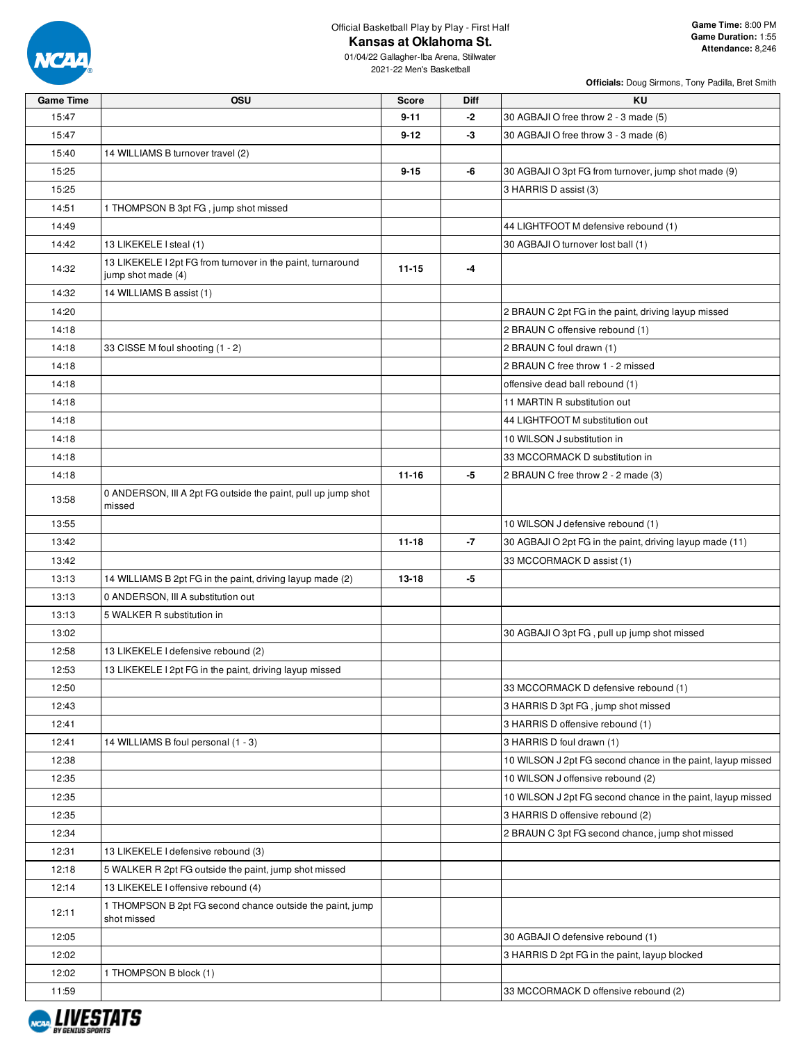

# Official Basketball Play by Play - First Half

**Kansas at Oklahoma St.**

**Officials:** Doug Sirmons, Tony Padilla, Bret Smith

01/04/22 Gallagher-Iba Arena, Stillwater 2021-22 Men's Basketball

| <b>Game Time</b> | OSU                                                                               | <b>Score</b> | Diff | <b>KU</b>                                                   |
|------------------|-----------------------------------------------------------------------------------|--------------|------|-------------------------------------------------------------|
| 15:47            |                                                                                   | $9 - 11$     | -2   | 30 AGBAJI O free throw 2 - 3 made (5)                       |
| 15:47            |                                                                                   | $9 - 12$     | -3   | 30 AGBAJI O free throw 3 - 3 made (6)                       |
| 15:40            | 14 WILLIAMS B turnover travel (2)                                                 |              |      |                                                             |
| 15:25            |                                                                                   | $9 - 15$     | -6   | 30 AGBAJI O 3pt FG from turnover, jump shot made (9)        |
| 15:25            |                                                                                   |              |      | 3 HARRIS D assist (3)                                       |
| 14:51            | 1 THOMPSON B 3pt FG, jump shot missed                                             |              |      |                                                             |
| 14:49            |                                                                                   |              |      | 44 LIGHTFOOT M defensive rebound (1)                        |
| 14:42            | 13 LIKEKELE I steal (1)                                                           |              |      | 30 AGBAJI O turnover lost ball (1)                          |
| 14:32            | 13 LIKEKELE I 2pt FG from turnover in the paint, turnaround<br>jump shot made (4) | $11 - 15$    | -4   |                                                             |
| 14:32            | 14 WILLIAMS B assist (1)                                                          |              |      |                                                             |
| 14:20            |                                                                                   |              |      | 2 BRAUN C 2pt FG in the paint, driving layup missed         |
| 14:18            |                                                                                   |              |      | 2 BRAUN C offensive rebound (1)                             |
| 14:18            | 33 CISSE M foul shooting (1 - 2)                                                  |              |      | 2 BRAUN C foul drawn (1)                                    |
| 14:18            |                                                                                   |              |      | 2 BRAUN C free throw 1 - 2 missed                           |
| 14:18            |                                                                                   |              |      | offensive dead ball rebound (1)                             |
| 14:18            |                                                                                   |              |      | 11 MARTIN R substitution out                                |
| 14:18            |                                                                                   |              |      | 44 LIGHTFOOT M substitution out                             |
| 14:18            |                                                                                   |              |      | 10 WILSON J substitution in                                 |
| 14:18            |                                                                                   |              |      | 33 MCCORMACK D substitution in                              |
| 14:18            |                                                                                   | $11 - 16$    | -5   | 2 BRAUN C free throw 2 - 2 made (3)                         |
| 13:58            | 0 ANDERSON, III A 2pt FG outside the paint, pull up jump shot<br>missed           |              |      |                                                             |
| 13:55            |                                                                                   |              |      | 10 WILSON J defensive rebound (1)                           |
| 13:42            |                                                                                   | $11 - 18$    | -7   | 30 AGBAJI O 2pt FG in the paint, driving layup made (11)    |
| 13:42            |                                                                                   |              |      | 33 MCCORMACK D assist (1)                                   |
| 13:13            | 14 WILLIAMS B 2pt FG in the paint, driving layup made (2)                         | $13 - 18$    | -5   |                                                             |
| 13:13            | 0 ANDERSON, III A substitution out                                                |              |      |                                                             |
| 13:13            | 5 WALKER R substitution in                                                        |              |      |                                                             |
| 13:02            |                                                                                   |              |      | 30 AGBAJI O 3pt FG, pull up jump shot missed                |
| 12:58            | 13 LIKEKELE I defensive rebound (2)                                               |              |      |                                                             |
| 12:53            | 13 LIKEKELE I 2pt FG in the paint, driving layup missed                           |              |      |                                                             |
| 12:50            |                                                                                   |              |      | 33 MCCORMACK D defensive rebound (1)                        |
| 12:43            |                                                                                   |              |      | 3 HARRIS D 3pt FG, jump shot missed                         |
| 12:41            |                                                                                   |              |      | 3 HARRIS D offensive rebound (1)                            |
| 12:41            | 14 WILLIAMS B foul personal (1 - 3)                                               |              |      | 3 HARRIS D foul drawn (1)                                   |
| 12:38            |                                                                                   |              |      | 10 WILSON J 2pt FG second chance in the paint, layup missed |
| 12:35            |                                                                                   |              |      | 10 WILSON J offensive rebound (2)                           |
| 12:35            |                                                                                   |              |      | 10 WILSON J 2pt FG second chance in the paint, layup missed |
| 12:35            |                                                                                   |              |      | 3 HARRIS D offensive rebound (2)                            |
| 12:34            |                                                                                   |              |      | 2 BRAUN C 3pt FG second chance, jump shot missed            |
| 12:31            | 13 LIKEKELE I defensive rebound (3)                                               |              |      |                                                             |
| 12:18            | 5 WALKER R 2pt FG outside the paint, jump shot missed                             |              |      |                                                             |
| 12:14            | 13 LIKEKELE I offensive rebound (4)                                               |              |      |                                                             |
| 12:11            | 1 THOMPSON B 2pt FG second chance outside the paint, jump<br>shot missed          |              |      |                                                             |
| 12:05            |                                                                                   |              |      | 30 AGBAJI O defensive rebound (1)                           |
| 12:02            |                                                                                   |              |      | 3 HARRIS D 2pt FG in the paint, layup blocked               |
| 12:02            | 1 THOMPSON B block (1)                                                            |              |      |                                                             |

11:59  $\vert$  33 MCCORMACK D offensive rebound (2)

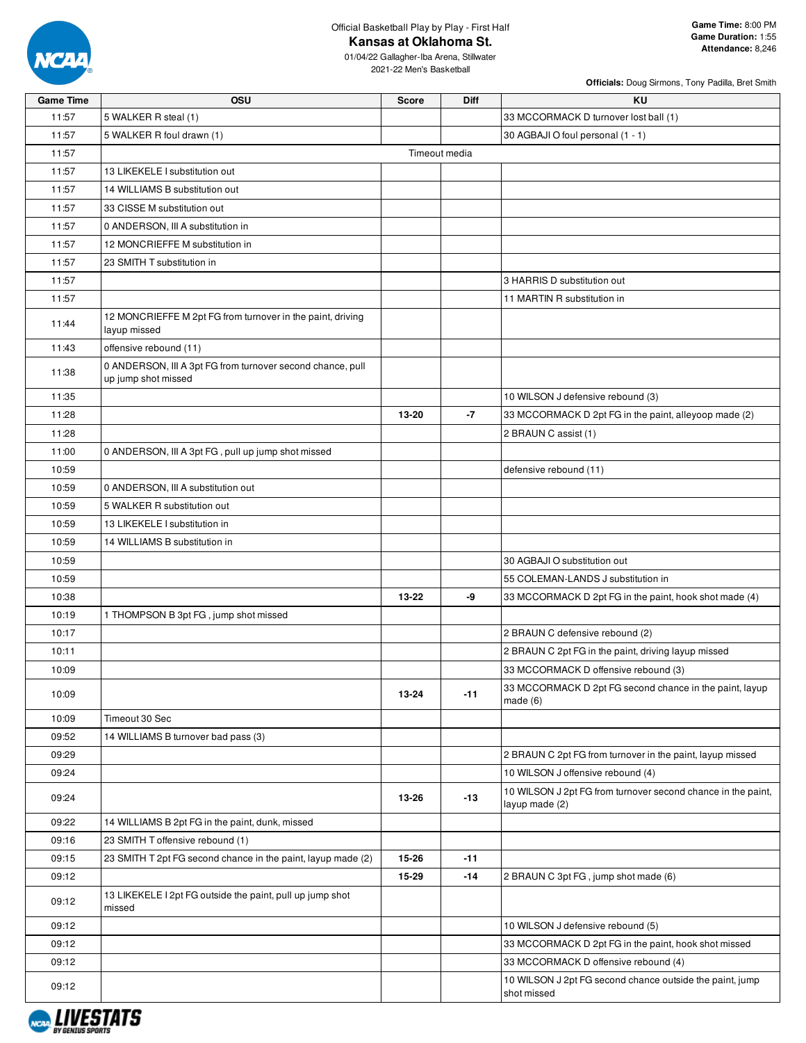

Official Basketball Play by Play - First Half

**Kansas at Oklahoma St.**

01/04/22 Gallagher-Iba Arena, Stillwater 2021-22 Men's Basketball

| <b>Game Time</b> | <b>OSU</b>                                                                        | <b>Score</b>  | <b>Diff</b> | KU                                                                             |
|------------------|-----------------------------------------------------------------------------------|---------------|-------------|--------------------------------------------------------------------------------|
| 11:57            | 5 WALKER R steal (1)                                                              |               |             | 33 MCCORMACK D turnover lost ball (1)                                          |
| 11:57            | 5 WALKER R foul drawn (1)                                                         |               |             | 30 AGBAJI O foul personal (1 - 1)                                              |
| 11:57            |                                                                                   | Timeout media |             |                                                                                |
| 11:57            | 13 LIKEKELE I substitution out                                                    |               |             |                                                                                |
| 11:57            | 14 WILLIAMS B substitution out                                                    |               |             |                                                                                |
| 11:57            | 33 CISSE M substitution out                                                       |               |             |                                                                                |
| 11:57            | 0 ANDERSON, III A substitution in                                                 |               |             |                                                                                |
| 11:57            | 12 MONCRIEFFE M substitution in                                                   |               |             |                                                                                |
| 11:57            | 23 SMITH T substitution in                                                        |               |             |                                                                                |
| 11:57            |                                                                                   |               |             | 3 HARRIS D substitution out                                                    |
| 11:57            |                                                                                   |               |             | 11 MARTIN R substitution in                                                    |
| 11:44            | 12 MONCRIEFFE M 2pt FG from turnover in the paint, driving<br>layup missed        |               |             |                                                                                |
| 11:43            | offensive rebound (11)                                                            |               |             |                                                                                |
| 11:38            | 0 ANDERSON, III A 3pt FG from turnover second chance, pull<br>up jump shot missed |               |             |                                                                                |
| 11:35            |                                                                                   |               |             | 10 WILSON J defensive rebound (3)                                              |
| 11:28            |                                                                                   | 13-20         | $-7$        | 33 MCCORMACK D 2pt FG in the paint, alleyoop made (2)                          |
| 11:28            |                                                                                   |               |             | 2 BRAUN C assist (1)                                                           |
| 11:00            | 0 ANDERSON, III A 3pt FG, pull up jump shot missed                                |               |             |                                                                                |
| 10:59            |                                                                                   |               |             | defensive rebound (11)                                                         |
| 10:59            | 0 ANDERSON, III A substitution out                                                |               |             |                                                                                |
| 10:59            | 5 WALKER R substitution out                                                       |               |             |                                                                                |
| 10:59            | 13 LIKEKELE I substitution in                                                     |               |             |                                                                                |
| 10:59            | 14 WILLIAMS B substitution in                                                     |               |             |                                                                                |
| 10:59            |                                                                                   |               |             | 30 AGBAJI O substitution out                                                   |
| 10:59            |                                                                                   |               |             | 55 COLEMAN-LANDS J substitution in                                             |
| 10:38            |                                                                                   | 13-22         | -9          | 33 MCCORMACK D 2pt FG in the paint, hook shot made (4)                         |
| 10:19            | 1 THOMPSON B 3pt FG, jump shot missed                                             |               |             |                                                                                |
| 10:17            |                                                                                   |               |             | 2 BRAUN C defensive rebound (2)                                                |
| 10:11            |                                                                                   |               |             | 2 BRAUN C 2pt FG in the paint, driving layup missed                            |
| 10:09            |                                                                                   |               |             | 33 MCCORMACK D offensive rebound (3)                                           |
| 10:09            |                                                                                   | 13-24         | $-11$       | 33 MCCORMACK D 2pt FG second chance in the paint, layup<br>made $(6)$          |
| 10:09            | Timeout 30 Sec                                                                    |               |             |                                                                                |
| 09:52            | 14 WILLIAMS B turnover bad pass (3)                                               |               |             |                                                                                |
| 09:29            |                                                                                   |               |             | 2 BRAUN C 2pt FG from turnover in the paint, layup missed                      |
| 09:24            |                                                                                   |               |             | 10 WILSON J offensive rebound (4)                                              |
| 09:24            |                                                                                   | 13-26         | $-13$       | 10 WILSON J 2pt FG from turnover second chance in the paint,<br>layup made (2) |
| 09:22            | 14 WILLIAMS B 2pt FG in the paint, dunk, missed                                   |               |             |                                                                                |
| 09:16            | 23 SMITH T offensive rebound (1)                                                  |               |             |                                                                                |
| 09:15            | 23 SMITH T 2pt FG second chance in the paint, layup made (2)                      | 15-26         | $-11$       |                                                                                |
| 09:12            |                                                                                   | 15-29         | $-14$       | 2 BRAUN C 3pt FG, jump shot made (6)                                           |
| 09:12            | 13 LIKEKELE I 2pt FG outside the paint, pull up jump shot<br>missed               |               |             |                                                                                |
| 09:12            |                                                                                   |               |             | 10 WILSON J defensive rebound (5)                                              |
| 09:12            |                                                                                   |               |             | 33 MCCORMACK D 2pt FG in the paint, hook shot missed                           |
| 09:12            |                                                                                   |               |             | 33 MCCORMACK D offensive rebound (4)                                           |
| 09:12            |                                                                                   |               |             | 10 WILSON J 2pt FG second chance outside the paint, jump<br>shot missed        |

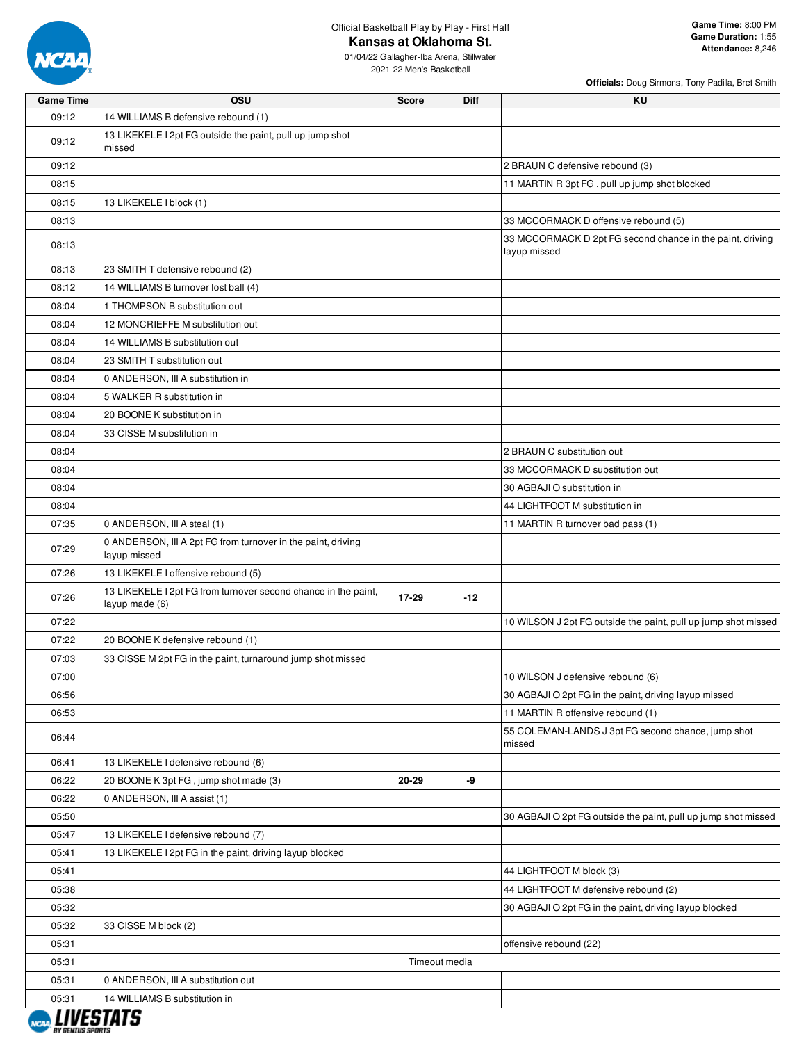

Official Basketball Play by Play - First Half

## **Kansas at Oklahoma St.**

01/04/22 Gallagher-Iba Arena, Stillwater

2021-22 Men's Basketball

| <b>Game Time</b> | OSU                                                                              | <b>Score</b> | Diff          | KU                                                                        |
|------------------|----------------------------------------------------------------------------------|--------------|---------------|---------------------------------------------------------------------------|
| 09:12            | 14 WILLIAMS B defensive rebound (1)                                              |              |               |                                                                           |
| 09:12            | 13 LIKEKELE I 2pt FG outside the paint, pull up jump shot<br>missed              |              |               |                                                                           |
| 09:12            |                                                                                  |              |               | 2 BRAUN C defensive rebound (3)                                           |
| 08:15            |                                                                                  |              |               | 11 MARTIN R 3pt FG, pull up jump shot blocked                             |
| 08:15            | 13 LIKEKELE I block (1)                                                          |              |               |                                                                           |
| 08:13            |                                                                                  |              |               | 33 MCCORMACK D offensive rebound (5)                                      |
| 08:13            |                                                                                  |              |               | 33 MCCORMACK D 2pt FG second chance in the paint, driving<br>layup missed |
| 08:13            | 23 SMITH T defensive rebound (2)                                                 |              |               |                                                                           |
| 08:12            | 14 WILLIAMS B turnover lost ball (4)                                             |              |               |                                                                           |
| 08:04            | 1 THOMPSON B substitution out                                                    |              |               |                                                                           |
| 08:04            | 12 MONCRIEFFE M substitution out                                                 |              |               |                                                                           |
| 08:04            | 14 WILLIAMS B substitution out                                                   |              |               |                                                                           |
| 08:04            | 23 SMITH T substitution out                                                      |              |               |                                                                           |
| 08:04            | 0 ANDERSON, III A substitution in                                                |              |               |                                                                           |
| 08:04            | 5 WALKER R substitution in                                                       |              |               |                                                                           |
| 08:04            | 20 BOONE K substitution in                                                       |              |               |                                                                           |
| 08:04            | 33 CISSE M substitution in                                                       |              |               |                                                                           |
| 08:04            |                                                                                  |              |               | 2 BRAUN C substitution out                                                |
| 08:04            |                                                                                  |              |               | 33 MCCORMACK D substitution out                                           |
| 08:04            |                                                                                  |              |               | 30 AGBAJI O substitution in                                               |
| 08:04            |                                                                                  |              |               | 44 LIGHTFOOT M substitution in                                            |
| 07:35            | 0 ANDERSON, III A steal (1)                                                      |              |               | 11 MARTIN R turnover bad pass (1)                                         |
|                  | 0 ANDERSON, III A 2pt FG from turnover in the paint, driving                     |              |               |                                                                           |
| 07:29            | layup missed                                                                     |              |               |                                                                           |
| 07:26            | 13 LIKEKELE I offensive rebound (5)                                              |              |               |                                                                           |
| 07:26            | 13 LIKEKELE I 2pt FG from turnover second chance in the paint,<br>layup made (6) | 17-29        | $-12$         |                                                                           |
| 07:22            |                                                                                  |              |               | 10 WILSON J 2pt FG outside the paint, pull up jump shot missed            |
| 07:22            | 20 BOONE K defensive rebound (1)                                                 |              |               |                                                                           |
| 07:03            | 33 CISSE M 2pt FG in the paint, turnaround jump shot missed                      |              |               |                                                                           |
| 07:00            |                                                                                  |              |               | 10 WILSON J defensive rebound (6)                                         |
| 06:56            |                                                                                  |              |               | 30 AGBAJI O 2pt FG in the paint, driving layup missed                     |
| 06:53            |                                                                                  |              |               | 11 MARTIN R offensive rebound (1)                                         |
| 06:44            |                                                                                  |              |               | 55 COLEMAN-LANDS J 3pt FG second chance, jump shot<br>missed              |
| 06:41            | 13 LIKEKELE I defensive rebound (6)                                              |              |               |                                                                           |
| 06:22            | 20 BOONE K 3pt FG, jump shot made (3)                                            | 20-29        | -9            |                                                                           |
| 06:22            | 0 ANDERSON, III A assist (1)                                                     |              |               |                                                                           |
| 05:50            |                                                                                  |              |               | 30 AGBAJI O 2pt FG outside the paint, pull up jump shot missed            |
| 05:47            | 13 LIKEKELE I defensive rebound (7)                                              |              |               |                                                                           |
| 05:41            | 13 LIKEKELE I 2pt FG in the paint, driving layup blocked                         |              |               |                                                                           |
| 05:41            |                                                                                  |              |               | 44 LIGHTFOOT M block (3)                                                  |
| 05:38            |                                                                                  |              |               | 44 LIGHTFOOT M defensive rebound (2)                                      |
| 05:32            |                                                                                  |              |               | 30 AGBAJI O 2pt FG in the paint, driving layup blocked                    |
| 05:32            | 33 CISSE M block (2)                                                             |              |               |                                                                           |
| 05:31            |                                                                                  |              |               | offensive rebound (22)                                                    |
| 05:31            |                                                                                  |              | Timeout media |                                                                           |
| 05:31            | 0 ANDERSON, III A substitution out                                               |              |               |                                                                           |
| 05:31            | 14 WILLIAMS B substitution in                                                    |              |               |                                                                           |

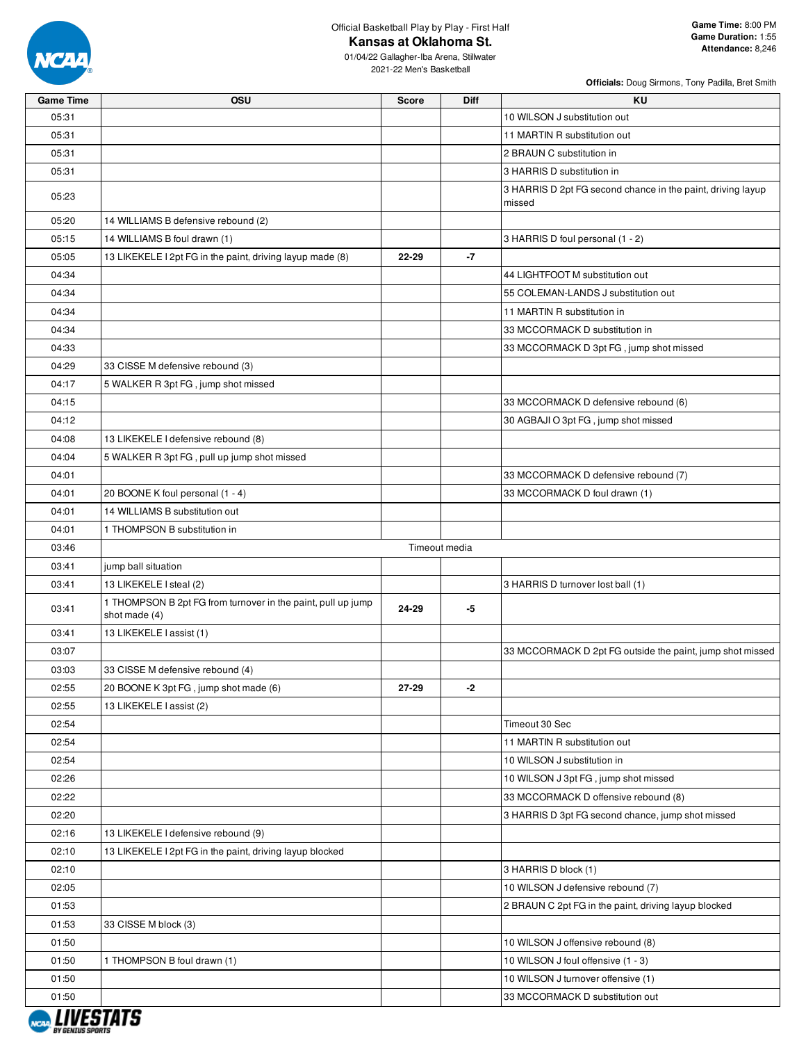

Official Basketball Play by Play - First Half **Kansas at Oklahoma St.**

01/04/22 Gallagher-Iba Arena, Stillwater 2021-22 Men's Basketball

| <b>Game Time</b> | OSU                                                                           | <b>Score</b> | <b>Diff</b>   | <b>KU</b>                                                             |
|------------------|-------------------------------------------------------------------------------|--------------|---------------|-----------------------------------------------------------------------|
| 05:31            |                                                                               |              |               | 10 WILSON J substitution out                                          |
| 05:31            |                                                                               |              |               | 11 MARTIN R substitution out                                          |
| 05:31            |                                                                               |              |               | 2 BRAUN C substitution in                                             |
| 05:31            |                                                                               |              |               | 3 HARRIS D substitution in                                            |
| 05:23            |                                                                               |              |               | 3 HARRIS D 2pt FG second chance in the paint, driving layup<br>missed |
| 05:20            | 14 WILLIAMS B defensive rebound (2)                                           |              |               |                                                                       |
| 05:15            | 14 WILLIAMS B foul drawn (1)                                                  |              |               | 3 HARRIS D foul personal (1 - 2)                                      |
| 05:05            | 13 LIKEKELE I 2pt FG in the paint, driving layup made (8)                     | 22-29        | $-7$          |                                                                       |
| 04:34            |                                                                               |              |               | 44 LIGHTFOOT M substitution out                                       |
| 04:34            |                                                                               |              |               | 55 COLEMAN-LANDS J substitution out                                   |
| 04:34            |                                                                               |              |               | 11 MARTIN R substitution in                                           |
| 04:34            |                                                                               |              |               | 33 MCCORMACK D substitution in                                        |
| 04:33            |                                                                               |              |               | 33 MCCORMACK D 3pt FG, jump shot missed                               |
| 04:29            | 33 CISSE M defensive rebound (3)                                              |              |               |                                                                       |
| 04:17            | 5 WALKER R 3pt FG, jump shot missed                                           |              |               |                                                                       |
| 04:15            |                                                                               |              |               | 33 MCCORMACK D defensive rebound (6)                                  |
| 04:12            |                                                                               |              |               | 30 AGBAJI O 3pt FG, jump shot missed                                  |
| 04:08            | 13 LIKEKELE I defensive rebound (8)                                           |              |               |                                                                       |
| 04:04            | 5 WALKER R 3pt FG, pull up jump shot missed                                   |              |               |                                                                       |
| 04:01            |                                                                               |              |               | 33 MCCORMACK D defensive rebound (7)                                  |
| 04:01            | 20 BOONE K foul personal (1 - 4)                                              |              |               | 33 MCCORMACK D foul drawn (1)                                         |
| 04:01            | 14 WILLIAMS B substitution out                                                |              |               |                                                                       |
| 04:01            | 1 THOMPSON B substitution in                                                  |              |               |                                                                       |
| 03:46            |                                                                               |              | Timeout media |                                                                       |
| 03:41            | jump ball situation                                                           |              |               |                                                                       |
| 03:41            | 13 LIKEKELE I steal (2)                                                       |              |               | 3 HARRIS D turnover lost ball (1)                                     |
| 03:41            | 1 THOMPSON B 2pt FG from turnover in the paint, pull up jump<br>shot made (4) | 24-29        | -5            |                                                                       |
| 03:41            | 13 LIKEKELE I assist (1)                                                      |              |               |                                                                       |
| 03:07            |                                                                               |              |               | 33 MCCORMACK D 2pt FG outside the paint, jump shot missed             |
| 03:03            | 33 CISSE M defensive rebound (4)                                              |              |               |                                                                       |
| 02:55            | 20 BOONE K 3pt FG, jump shot made (6)                                         | 27-29        | -2            |                                                                       |
| 02:55            | 13 LIKEKELE I assist (2)                                                      |              |               |                                                                       |
| 02:54            |                                                                               |              |               | Timeout 30 Sec                                                        |
| 02:54            |                                                                               |              |               | 11 MARTIN R substitution out                                          |
| 02:54            |                                                                               |              |               | 10 WILSON J substitution in                                           |
| 02:26            |                                                                               |              |               | 10 WILSON J 3pt FG, jump shot missed                                  |
| 02:22            |                                                                               |              |               | 33 MCCORMACK D offensive rebound (8)                                  |
| 02:20            |                                                                               |              |               | 3 HARRIS D 3pt FG second chance, jump shot missed                     |
| 02:16            | 13 LIKEKELE I defensive rebound (9)                                           |              |               |                                                                       |
| 02:10            | 13 LIKEKELE I 2pt FG in the paint, driving layup blocked                      |              |               |                                                                       |
| 02:10            |                                                                               |              |               | 3 HARRIS D block (1)                                                  |
| 02:05            |                                                                               |              |               | 10 WILSON J defensive rebound (7)                                     |
| 01:53            |                                                                               |              |               | 2 BRAUN C 2pt FG in the paint, driving layup blocked                  |
| 01:53            | 33 CISSE M block (3)                                                          |              |               |                                                                       |
| 01:50            |                                                                               |              |               | 10 WILSON J offensive rebound (8)                                     |
| 01:50            | 1 THOMPSON B foul drawn (1)                                                   |              |               | 10 WILSON J foul offensive (1 - 3)                                    |
| 01:50            |                                                                               |              |               | 10 WILSON J turnover offensive (1)                                    |
|                  |                                                                               |              |               |                                                                       |
| 01:50            |                                                                               |              |               | 33 MCCORMACK D substitution out                                       |

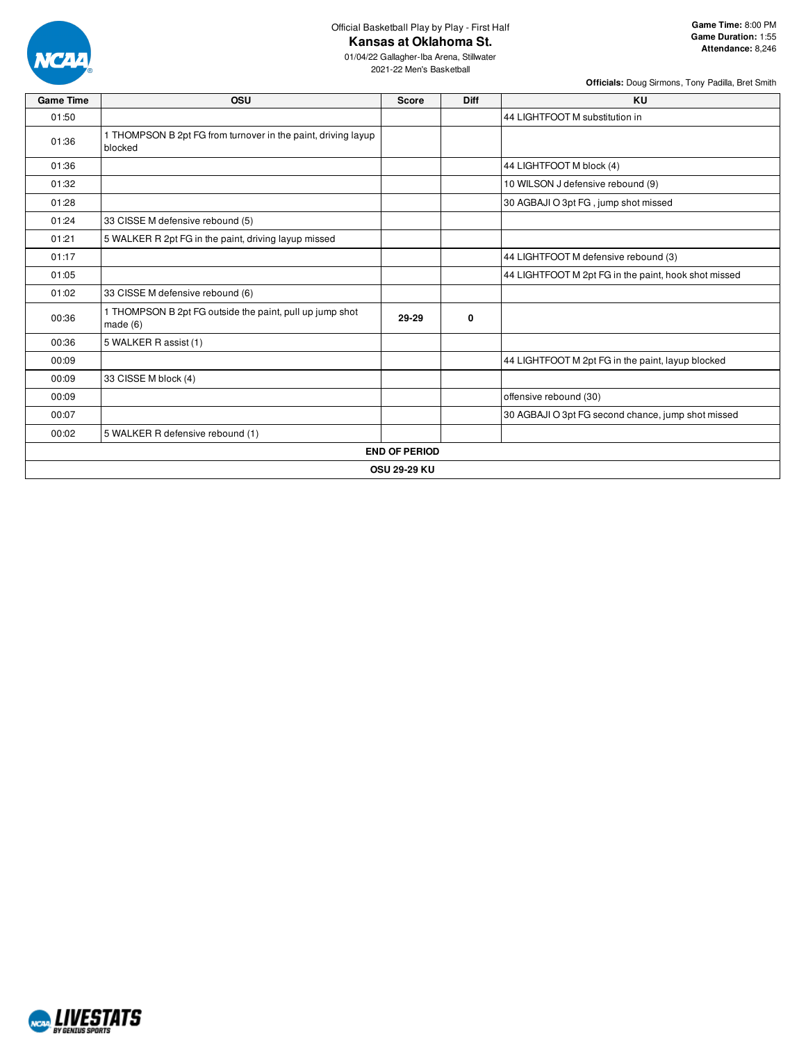

Official Basketball Play by Play - First Half

## **Kansas at Oklahoma St.**

01/04/22 Gallagher-Iba Arena, Stillwater 2021-22 Men's Basketball

**Game Time:** 8:00 PM

| <b>Game Time</b> | OSU                                                                      | <b>Score</b>         | <b>Diff</b> | KU                                                   |
|------------------|--------------------------------------------------------------------------|----------------------|-------------|------------------------------------------------------|
| 01:50            |                                                                          |                      |             | 44 LIGHTFOOT M substitution in                       |
| 01:36            | 1 THOMPSON B 2pt FG from turnover in the paint, driving layup<br>blocked |                      |             |                                                      |
| 01:36            |                                                                          |                      |             | 44 LIGHTFOOT M block (4)                             |
| 01:32            |                                                                          |                      |             | 10 WILSON J defensive rebound (9)                    |
| 01:28            |                                                                          |                      |             | 30 AGBAJI O 3pt FG, jump shot missed                 |
| 01:24            | 33 CISSE M defensive rebound (5)                                         |                      |             |                                                      |
| 01:21            | 5 WALKER R 2pt FG in the paint, driving layup missed                     |                      |             |                                                      |
| 01:17            |                                                                          |                      |             | 44 LIGHTFOOT M defensive rebound (3)                 |
| 01:05            |                                                                          |                      |             | 44 LIGHTFOOT M 2pt FG in the paint, hook shot missed |
| 01:02            | 33 CISSE M defensive rebound (6)                                         |                      |             |                                                      |
| 00:36            | 1 THOMPSON B 2pt FG outside the paint, pull up jump shot<br>made $(6)$   | 29-29                | 0           |                                                      |
| 00:36            | 5 WALKER R assist (1)                                                    |                      |             |                                                      |
| 00:09            |                                                                          |                      |             | 44 LIGHTFOOT M 2pt FG in the paint, layup blocked    |
| 00:09            | 33 CISSE M block (4)                                                     |                      |             |                                                      |
| 00:09            |                                                                          |                      |             | offensive rebound (30)                               |
| 00:07            |                                                                          |                      |             | 30 AGBAJI O 3pt FG second chance, jump shot missed   |
| 00:02            | 5 WALKER R defensive rebound (1)                                         |                      |             |                                                      |
|                  |                                                                          | <b>END OF PERIOD</b> |             |                                                      |
|                  |                                                                          | <b>OSU 29-29 KU</b>  |             |                                                      |

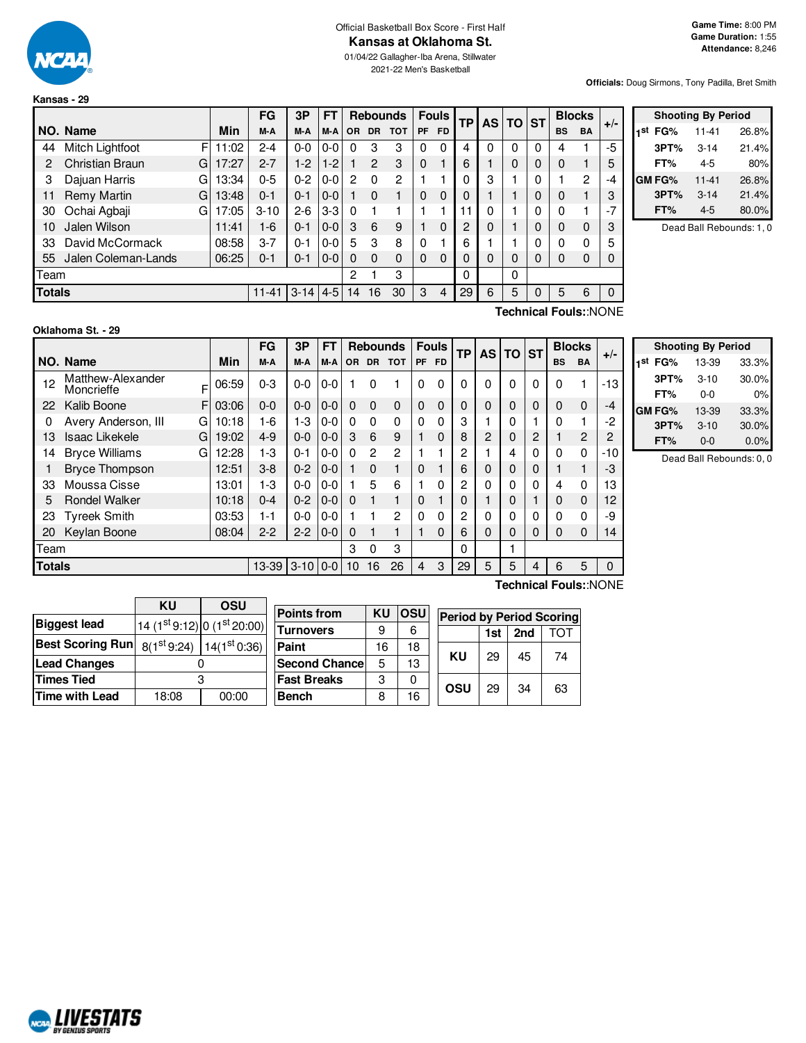

**Kansas - 29**

#### Official Basketball Box Score - First Half **Kansas at Oklahoma St.**

01/04/22 Gallagher-Iba Arena, Stillwater 2021-22 Men's Basketball

**Officials:** Doug Sirmons, Tony Padilla, Bret Smith

|               |                     |    |       | FG        | 3P      | <b>FT</b> |                |           | <b>Rebounds</b> |          | <b>Fouls</b> | ТP | <b>AS</b> | ΤO | <b>ST</b> | <b>Blocks</b> |                       |       |
|---------------|---------------------|----|-------|-----------|---------|-----------|----------------|-----------|-----------------|----------|--------------|----|-----------|----|-----------|---------------|-----------------------|-------|
|               | NO. Name            |    | Min   | M-A       | M-A     | M-A       | <b>OR</b>      | <b>DR</b> | <b>TOT</b>      | PF       | <b>FD</b>    |    |           |    |           | <b>BS</b>     | <b>BA</b>             | $+/-$ |
| 44            | Mitch Lightfoot     | F  | 11:02 | $2 - 4$   | $0 - 0$ | $0 - 0$   | 0              | 3         | 3               | 0        | 0            | 4  | 0         | 0  | 0         | 4             |                       | $-5$  |
| 2             | Christian Braun     | GI | 17:27 | $2 - 7$   | $1-2$   | $1-2$     |                | 2         | 3               | $\Omega$ |              | 6  |           | 0  | 0         | 0             |                       | 5     |
| 3             | Dajuan Harris       | G  | 13:34 | $0 - 5$   | $0 - 2$ | $0 - 0$   | 2              | 0         | 2               |          |              | 0  | 3         |    | 0         |               | $\overline{2}$        | -4    |
| 11            | <b>Remy Martin</b>  | G  | 13:48 | $0 - 1$   | $0 - 1$ | $0-0$     |                | 0         | 1               | 0        | $\Omega$     | 0  |           |    | 0         | 0             |                       | 3     |
| 30            | Ochai Agbaji        | G  | 17:05 | $3 - 10$  | $2 - 6$ | $3-3$     | $\Omega$       |           |                 |          |              | 11 | 0         |    | 0         | 0             |                       | $-7$  |
| 10            | Jalen Wilson        |    | 11:41 | $1 - 6$   | $0 - 1$ | $0 - 0$   | 3              | 6         | 9               |          | $\Omega$     | 2  | 0         |    | 0         | $\Omega$      | 0                     | 3     |
| 33            | David McCormack     |    | 08:58 | $3 - 7$   | $0 - 1$ | $0 - 0$   | 5              | 3         | 8               | 0        |              | 6  |           |    | 0         | 0             | 0                     | 5     |
| 55            | Jalen Coleman-Lands |    | 06:25 | $0 - 1$   | $0 - 1$ | $0 - 0$   | 0              | $\Omega$  | $\Omega$        | $\Omega$ | 0            | 0  | 0         | 0  | 0         | 0             | 0                     | 0     |
| Team          |                     |    |       |           |         |           | $\overline{2}$ |           | 3               |          |              | 0  |           | 0  |           |               |                       |       |
| <b>Totals</b> |                     |    |       | $11 - 41$ | $3-14$  | $4-5$     | 14             | 16        | 30              | 3        | 4            | 29 | 6         | 5  | 0         | 5             | 6                     | 0     |
|               |                     |    |       |           |         |           |                |           |                 |          |              |    |           |    |           |               | Technical Fouls::NONE |       |

|     | <b>Shooting By Period</b> |          |       |  |  |  |  |  |  |  |  |
|-----|---------------------------|----------|-------|--|--|--|--|--|--|--|--|
| 1st | FG%                       | 11-41    | 26.8% |  |  |  |  |  |  |  |  |
|     | 3PT%                      | $3 - 14$ | 21.4% |  |  |  |  |  |  |  |  |
|     | FT%                       | 4-5      | 80%   |  |  |  |  |  |  |  |  |
|     | GM FG%                    | 11-41    | 26.8% |  |  |  |  |  |  |  |  |
|     | 3PT%                      | $3 - 14$ | 21.4% |  |  |  |  |  |  |  |  |
|     | FT%                       | $4 - 5$  | 80.0% |  |  |  |  |  |  |  |  |

Dead Ball Rebounds: 1, 0

#### **Oklahoma St. - 29**

**ALIVESTATS RV GENTUS S** 

 $F$  06:59 F 03:06 G 10:18 G 19:02 G $\vert$  12:28 **NO. Name Min FG 3P FT Rebounds Fouls TP AS TO ST**  $\begin{bmatrix} \mathsf{FG} & \mathsf{3P} & \mathsf{FT} \\ \mathsf{M-A} & \mathsf{M-A} & \mathsf{OR} & \mathsf{DR} & \mathsf{TOT} \end{bmatrix}$   $\begin{bmatrix} \mathsf{Fouls} \\ \mathsf{PF} & \mathsf{FD} \end{bmatrix}$   $\begin{bmatrix} \mathsf{TS} & \mathsf{BC} \\ \mathsf{NS} & \mathsf{DS} \end{bmatrix}$   $\begin{bmatrix} \mathsf{BlockS} \\ \mathsf{BS} & \mathsf{BA} \end{bmatrix}$  +/-12 Matthew-Alexander Moncrieffe 06:59 0-3 0-0 0-0 1 0 1 0 0 0 0 0 0 0 1 -13 22 Kalib Boone 03:06 0-0 0-0 0-0 0 0 0 0 0 0 0 0 0 0 0 -4 0 Avery Anderson, III G 10:18 1 -6 1 -3 0 -0 0 0 0 0 0 0 0 3 1 1 0 1 0 1 2 13 Isaac Likekele G | 19:02 | 4-9 | 0-0 | 0-0 | 3 6 9 | 1 0 | 8 | 2 | 0 | 2 | 1 2 | 2 14 Bryce Williams G | 12:28 | 1-3 | 0-1 | 0-0 | 0 \_2 \_ 2 | 1 \_ 1 | 2 | 1 | 4 | 0 | 0 \_ 0 | -10 1 Bryce Thompson 12:51 3-8 0-2 0-0 1 0 1 0 1 6 0 0 0 1 1 -3 33 Moussa Cisse  $\begin{array}{c|cccccc} & 13:01 & 1-3 & 0-0 & 0-0 & 1 & 5 & 6 & 1 & 0 & 2 & 0 & 0 & 4 & 0 & 13 \end{array}$ 5 Rondel Walker 10:18 0-4 0-2 0-0 0 1 1 0 1 0 1 0 1 0 0 12 23 Tyreek Smith 03:53 1-1 0-0 0-0 1 1 2 0 0 2 0 0 0 0 0 -9 20 Keylan Boone | 08:04 | 2-2 | 2-2 | 0-0 | 0 | 1 | 1 | 0 | 6 | 0 | 0 | 0 | 0 | 0 | 14 Team 3 0 3 0 1 **Totals** 13-39 3-10 0-0 10 16 26 4 3 29 5 5 4 6 5 0

|     | <b>Shooting By Period</b> |          |       |  |  |  |  |  |  |  |  |
|-----|---------------------------|----------|-------|--|--|--|--|--|--|--|--|
| 1st | FG%                       | 13-39    | 33.3% |  |  |  |  |  |  |  |  |
|     | 3PT%                      | $3 - 10$ | 30.0% |  |  |  |  |  |  |  |  |
|     | FT%                       | 0-0      | $0\%$ |  |  |  |  |  |  |  |  |
|     | GM FG%                    | 13-39    | 33.3% |  |  |  |  |  |  |  |  |
|     | 3PT%                      | $3 - 10$ | 30.0% |  |  |  |  |  |  |  |  |
|     | FT%                       | $0 - 0$  | 0.0%  |  |  |  |  |  |  |  |  |

Dead Ball Rebounds: 0, 0

|                         | ΚU    | OSU                                      | Poi |  |  |  |
|-------------------------|-------|------------------------------------------|-----|--|--|--|
| <b>Biggest lead</b>     |       | 14 (1st 9:12) 0 (1st 20:00)              | Tur |  |  |  |
| <b>Best Scoring Run</b> |       | $8(1^{st}9:24)$ 14(1 <sup>st</sup> 0:36) | Pai |  |  |  |
| <b>Lead Changes</b>     |       |                                          |     |  |  |  |
| <b>Times Tied</b>       |       | Fas                                      |     |  |  |  |
| <b>Time with Lead</b>   | 18:08 | 00:00                                    | Beı |  |  |  |

| <b>Points from</b> | ΚU | OSU |     |     |     | <b>Period by Period Scoring</b> |
|--------------------|----|-----|-----|-----|-----|---------------------------------|
| <b>Turnovers</b>   | 9  | 6   |     | 1st | 2nd | TOT                             |
| Paint              | 16 | 18  |     |     |     |                                 |
| Second Chance      | 5  | 13  | ΚU  | 29  | 45  | 74                              |
| <b>Fast Breaks</b> | 3  |     | OSU | 29  | 34  |                                 |
| <b>Bench</b>       | 8  | 16  |     |     |     | 63                              |

**Technical Fouls:**:NONE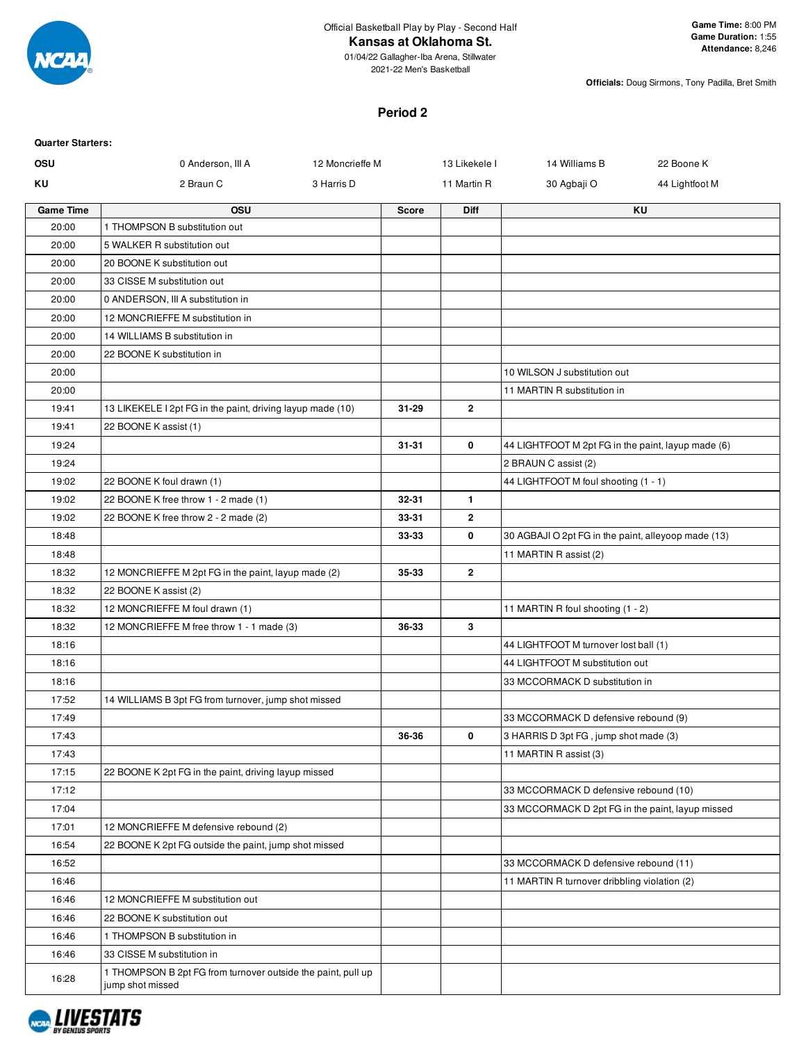

#### **Kansas at Oklahoma St.**

01/04/22 Gallagher-Iba Arena, Stillwater 2021-22 Men's Basketball

**Officials:** Doug Sirmons, Tony Padilla, Bret Smith

#### **Period 2**

| <b>Quarter Starters:</b> |                                                                                  |                 |              |                |                                                     |                |
|--------------------------|----------------------------------------------------------------------------------|-----------------|--------------|----------------|-----------------------------------------------------|----------------|
| OSU                      | 0 Anderson, III A                                                                | 12 Moncrieffe M |              | 13 Likekele I  | 14 Williams B                                       | 22 Boone K     |
| ΚU                       | 2 Braun C                                                                        | 3 Harris D      |              | 11 Martin R    | 30 Agbaji O                                         | 44 Lightfoot M |
| <b>Game Time</b>         | <b>OSU</b>                                                                       |                 | <b>Score</b> | <b>Diff</b>    |                                                     | <b>KU</b>      |
| 20:00                    | 1 THOMPSON B substitution out                                                    |                 |              |                |                                                     |                |
| 20:00                    | 5 WALKER R substitution out                                                      |                 |              |                |                                                     |                |
| 20:00                    | 20 BOONE K substitution out                                                      |                 |              |                |                                                     |                |
| 20:00                    | 33 CISSE M substitution out                                                      |                 |              |                |                                                     |                |
| 20:00                    | 0 ANDERSON, III A substitution in                                                |                 |              |                |                                                     |                |
| 20:00                    | 12 MONCRIEFFE M substitution in                                                  |                 |              |                |                                                     |                |
| 20:00                    | 14 WILLIAMS B substitution in                                                    |                 |              |                |                                                     |                |
| 20:00                    | 22 BOONE K substitution in                                                       |                 |              |                |                                                     |                |
| 20:00                    |                                                                                  |                 |              |                | 10 WILSON J substitution out                        |                |
| 20:00                    |                                                                                  |                 |              |                | 11 MARTIN R substitution in                         |                |
| 19:41                    | 13 LIKEKELE I 2pt FG in the paint, driving layup made (10)                       |                 | 31-29        | $\overline{2}$ |                                                     |                |
| 19:41                    | 22 BOONE K assist (1)                                                            |                 |              |                |                                                     |                |
| 19:24                    |                                                                                  |                 | $31 - 31$    | 0              | 44 LIGHTFOOT M 2pt FG in the paint, layup made (6)  |                |
| 19:24                    |                                                                                  |                 |              |                | 2 BRAUN C assist (2)                                |                |
| 19:02                    | 22 BOONE K foul drawn (1)                                                        |                 |              |                | 44 LIGHTFOOT M foul shooting (1 - 1)                |                |
| 19:02                    | 22 BOONE K free throw 1 - 2 made (1)                                             |                 | 32-31        | $\mathbf{1}$   |                                                     |                |
| 19:02                    | 22 BOONE K free throw 2 - 2 made (2)                                             |                 | 33-31        | $\mathbf{2}$   |                                                     |                |
| 18:48                    |                                                                                  |                 | 33-33        | 0              | 30 AGBAJI O 2pt FG in the paint, alleyoop made (13) |                |
| 18:48                    |                                                                                  |                 |              |                | 11 MARTIN R assist (2)                              |                |
| 18:32                    | 12 MONCRIEFFE M 2pt FG in the paint, layup made (2)                              |                 | 35-33        | $\overline{2}$ |                                                     |                |
| 18:32                    | 22 BOONE K assist (2)                                                            |                 |              |                |                                                     |                |
| 18:32                    | 12 MONCRIEFFE M foul drawn (1)                                                   |                 |              |                | 11 MARTIN R foul shooting (1 - 2)                   |                |
| 18:32                    | 12 MONCRIEFFE M free throw 1 - 1 made (3)                                        |                 | 36-33        | 3              |                                                     |                |
| 18:16                    |                                                                                  |                 |              |                | 44 LIGHTFOOT M turnover lost ball (1)               |                |
| 18:16                    |                                                                                  |                 |              |                | 44 LIGHTFOOT M substitution out                     |                |
| 18:16                    |                                                                                  |                 |              |                | 33 MCCORMACK D substitution in                      |                |
| 17:52                    | 14 WILLIAMS B 3pt FG from turnover, jump shot missed                             |                 |              |                |                                                     |                |
| 17:49                    |                                                                                  |                 |              |                | 33 MCCORMACK D defensive rebound (9)                |                |
| 17:43                    |                                                                                  |                 | 36-36        | 0              | 3 HARRIS D 3pt FG, jump shot made (3)               |                |
| 17:43                    |                                                                                  |                 |              |                | 11 MARTIN R assist (3)                              |                |
| 17:15                    | 22 BOONE K 2pt FG in the paint, driving layup missed                             |                 |              |                |                                                     |                |
| 17:12                    |                                                                                  |                 |              |                | 33 MCCORMACK D defensive rebound (10)               |                |
| 17:04                    |                                                                                  |                 |              |                | 33 MCCORMACK D 2pt FG in the paint, layup missed    |                |
| 17:01                    | 12 MONCRIEFFE M defensive rebound (2)                                            |                 |              |                |                                                     |                |
| 16:54                    | 22 BOONE K 2pt FG outside the paint, jump shot missed                            |                 |              |                |                                                     |                |
| 16:52                    |                                                                                  |                 |              |                | 33 MCCORMACK D defensive rebound (11)               |                |
| 16:46                    |                                                                                  |                 |              |                | 11 MARTIN R turnover dribbling violation (2)        |                |
| 16:46                    | 12 MONCRIEFFE M substitution out                                                 |                 |              |                |                                                     |                |
| 16:46                    | 22 BOONE K substitution out                                                      |                 |              |                |                                                     |                |
| 16:46                    | 1 THOMPSON B substitution in                                                     |                 |              |                |                                                     |                |
| 16:46                    | 33 CISSE M substitution in                                                       |                 |              |                |                                                     |                |
| 16:28                    | 1 THOMPSON B 2pt FG from turnover outside the paint, pull up<br>jump shot missed |                 |              |                |                                                     |                |

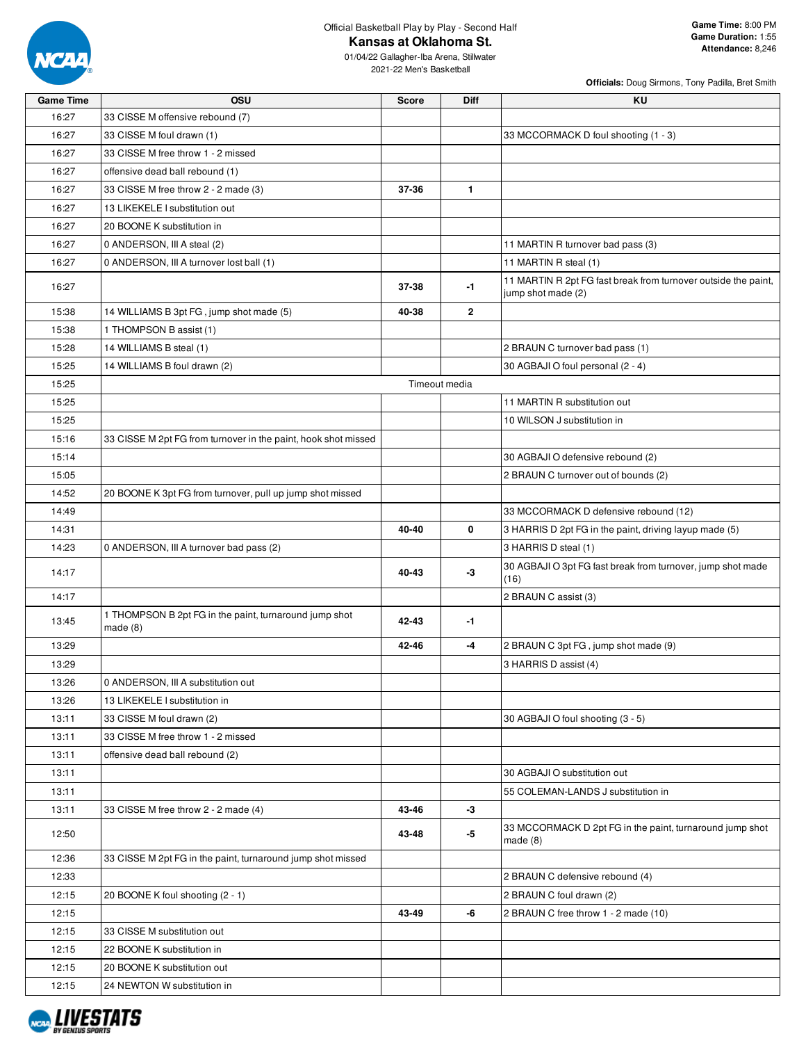

16:27

16:27 16:27

16:27  $16:27$ 

15:38

13:45

13:26 13:26

 $13:11$  $13:11$ 

 $12:15$  $12:15$  $12:15$  $12:15$ 

Official Basketball Play by Play - Second Half

**Kansas at Oklahoma St.**

**Game Time OSU Score Diff KU**

**Officials:** Doug Sirmons, Tony Padilla, Bret Smith

01/04/22 Gallagher-Iba Arena, Stillwater 2021-22 Men's Basketball

| 16:27 | 33 CISSE M offensive rebound (7)                                     |       |               |                                                                                      |
|-------|----------------------------------------------------------------------|-------|---------------|--------------------------------------------------------------------------------------|
| 16:27 | 33 CISSE M foul drawn (1)                                            |       |               | 33 MCCORMACK D foul shooting (1 - 3)                                                 |
| 16:27 | 33 CISSE M free throw 1 - 2 missed                                   |       |               |                                                                                      |
| 16:27 | offensive dead ball rebound (1)                                      |       |               |                                                                                      |
| 16:27 | 33 CISSE M free throw 2 - 2 made (3)                                 | 37-36 | $\mathbf{1}$  |                                                                                      |
| 16:27 | 13 LIKEKELE I substitution out                                       |       |               |                                                                                      |
| 16:27 | 20 BOONE K substitution in                                           |       |               |                                                                                      |
| 16:27 | 0 ANDERSON, III A steal (2)                                          |       |               | 11 MARTIN R turnover bad pass (3)                                                    |
| 16:27 | 0 ANDERSON, III A turnover lost ball (1)                             |       |               | 11 MARTIN R steal (1)                                                                |
| 16:27 |                                                                      | 37-38 | -1            | 11 MARTIN R 2pt FG fast break from turnover outside the paint,<br>jump shot made (2) |
| 15:38 | 14 WILLIAMS B 3pt FG, jump shot made (5)                             | 40-38 | $\mathbf{2}$  |                                                                                      |
| 15:38 | 1 THOMPSON B assist (1)                                              |       |               |                                                                                      |
| 15:28 | 14 WILLIAMS B steal (1)                                              |       |               | 2 BRAUN C turnover bad pass (1)                                                      |
| 15:25 | 14 WILLIAMS B foul drawn (2)                                         |       |               | 30 AGBAJI O foul personal (2 - 4)                                                    |
| 15:25 |                                                                      |       | Timeout media |                                                                                      |
| 15:25 |                                                                      |       |               | 11 MARTIN R substitution out                                                         |
| 15:25 |                                                                      |       |               | 10 WILSON J substitution in                                                          |
| 15:16 | 33 CISSE M 2pt FG from turnover in the paint, hook shot missed       |       |               |                                                                                      |
| 15:14 |                                                                      |       |               | 30 AGBAJI O defensive rebound (2)                                                    |
| 15:05 |                                                                      |       |               | 2 BRAUN C turnover out of bounds (2)                                                 |
| 14:52 | 20 BOONE K 3pt FG from turnover, pull up jump shot missed            |       |               |                                                                                      |
| 14:49 |                                                                      |       |               | 33 MCCORMACK D defensive rebound (12)                                                |
| 14:31 |                                                                      | 40-40 | 0             | 3 HARRIS D 2pt FG in the paint, driving layup made (5)                               |
| 14:23 | 0 ANDERSON, III A turnover bad pass (2)                              |       |               | 3 HARRIS D steal (1)                                                                 |
| 14:17 |                                                                      | 40-43 | -3            | 30 AGBAJI O 3pt FG fast break from turnover, jump shot made<br>(16)                  |
| 14:17 |                                                                      |       |               | 2 BRAUN C assist (3)                                                                 |
| 13:45 | 1 THOMPSON B 2pt FG in the paint, turnaround jump shot<br>made $(8)$ | 42-43 | -1            |                                                                                      |
| 13:29 |                                                                      | 42-46 | -4            | 2 BRAUN C 3pt FG, jump shot made (9)                                                 |
| 13:29 |                                                                      |       |               | 3 HARRIS D assist (4)                                                                |
| 13:26 | 0 ANDERSON, III A substitution out                                   |       |               |                                                                                      |
| 13:26 | 13 LIKEKELE I substitution in                                        |       |               |                                                                                      |
| 13:11 | 33 CISSE M foul drawn (2)                                            |       |               | 30 AGBAJI O foul shooting (3 - 5)                                                    |
| 13:11 | 33 CISSE M free throw 1 - 2 missed                                   |       |               |                                                                                      |
| 13:11 | offensive dead ball rebound (2)                                      |       |               |                                                                                      |
| 13:11 |                                                                      |       |               | 30 AGBAJI O substitution out                                                         |
| 13:11 |                                                                      |       |               | 55 COLEMAN-LANDS J substitution in                                                   |
| 13:11 | 33 CISSE M free throw 2 - 2 made (4)                                 | 43-46 | -3            |                                                                                      |
| 12:50 |                                                                      | 43-48 | -5            | 33 MCCORMACK D 2pt FG in the paint, turnaround jump shot<br>made $(8)$               |
| 12:36 | 33 CISSE M 2pt FG in the paint, turnaround jump shot missed          |       |               |                                                                                      |
| 12:33 |                                                                      |       |               | 2 BRAUN C defensive rebound (4)                                                      |
| 12:15 | 20 BOONE K foul shooting (2 - 1)                                     |       |               | 2 BRAUN C foul drawn (2)                                                             |
| 12:15 |                                                                      | 43-49 | -6            | 2 BRAUN C free throw 1 - 2 made (10)                                                 |
| 12:15 | 33 CISSE M substitution out                                          |       |               |                                                                                      |
| 12:15 | 22 BOONE K substitution in                                           |       |               |                                                                                      |
| 12:15 | 20 BOONE K substitution out                                          |       |               |                                                                                      |
| 12:15 | 24 NEWTON W substitution in                                          |       |               |                                                                                      |

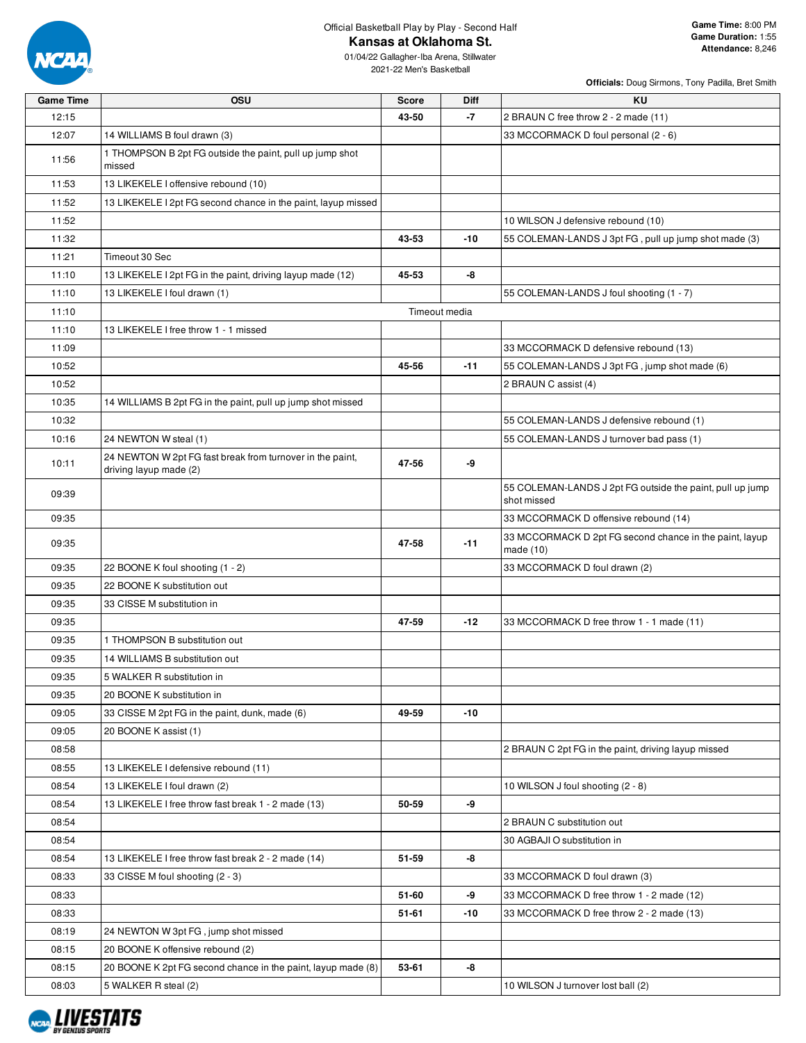

**Kansas at Oklahoma St.**

01/04/22 Gallagher-Iba Arena, Stillwater 2021-22 Men's Basketball

| <b>Game Time</b> | OSU                                                                                 | <b>Score</b> | Diff          | KU                                                                       |
|------------------|-------------------------------------------------------------------------------------|--------------|---------------|--------------------------------------------------------------------------|
| 12:15            |                                                                                     | 43-50        | $-7$          | 2 BRAUN C free throw 2 - 2 made (11)                                     |
| 12:07            | 14 WILLIAMS B foul drawn (3)                                                        |              |               | 33 MCCORMACK D foul personal (2 - 6)                                     |
| 11:56            | 1 THOMPSON B 2pt FG outside the paint, pull up jump shot<br>missed                  |              |               |                                                                          |
| 11:53            | 13 LIKEKELE I offensive rebound (10)                                                |              |               |                                                                          |
| 11:52            | 13 LIKEKELE I 2pt FG second chance in the paint, layup missed                       |              |               |                                                                          |
| 11:52            |                                                                                     |              |               | 10 WILSON J defensive rebound (10)                                       |
| 11:32            |                                                                                     | 43-53        | $-10$         | 55 COLEMAN-LANDS J 3pt FG, pull up jump shot made (3)                    |
| 11:21            | Timeout 30 Sec                                                                      |              |               |                                                                          |
| 11:10            | 13 LIKEKELE I 2pt FG in the paint, driving layup made (12)                          | 45-53        | -8            |                                                                          |
| 11:10            | 13 LIKEKELE I foul drawn (1)                                                        |              |               | 55 COLEMAN-LANDS J foul shooting (1 - 7)                                 |
| 11:10            |                                                                                     |              | Timeout media |                                                                          |
| 11:10            | 13 LIKEKELE I free throw 1 - 1 missed                                               |              |               |                                                                          |
| 11:09            |                                                                                     |              |               | 33 MCCORMACK D defensive rebound (13)                                    |
| 10:52            |                                                                                     | 45-56        | $-11$         | 55 COLEMAN-LANDS J 3pt FG, jump shot made (6)                            |
| 10:52            |                                                                                     |              |               | 2 BRAUN C assist (4)                                                     |
| 10:35            | 14 WILLIAMS B 2pt FG in the paint, pull up jump shot missed                         |              |               |                                                                          |
| 10:32            |                                                                                     |              |               | 55 COLEMAN-LANDS J defensive rebound (1)                                 |
| 10:16            | 24 NEWTON W steal (1)                                                               |              |               | 55 COLEMAN-LANDS J turnover bad pass (1)                                 |
| 10:11            | 24 NEWTON W 2pt FG fast break from turnover in the paint,<br>driving layup made (2) | 47-56        | -9            |                                                                          |
| 09:39            |                                                                                     |              |               | 55 COLEMAN-LANDS J 2pt FG outside the paint, pull up jump<br>shot missed |
| 09:35            |                                                                                     |              |               | 33 MCCORMACK D offensive rebound (14)                                    |
| 09:35            |                                                                                     | 47-58        | $-11$         | 33 MCCORMACK D 2pt FG second chance in the paint, layup<br>made $(10)$   |
| 09:35            | 22 BOONE K foul shooting (1 - 2)                                                    |              |               | 33 MCCORMACK D foul drawn (2)                                            |
| 09:35            | 22 BOONE K substitution out                                                         |              |               |                                                                          |
| 09:35            | 33 CISSE M substitution in                                                          |              |               |                                                                          |
| 09:35            |                                                                                     | 47-59        | $-12$         | 33 MCCORMACK D free throw 1 - 1 made (11)                                |
| 09:35            | 1 THOMPSON B substitution out                                                       |              |               |                                                                          |
| 09:35            | 14 WILLIAMS B substitution out                                                      |              |               |                                                                          |
| 09:35            | 5 WALKER R substitution in                                                          |              |               |                                                                          |
| 09:35            | 20 BOONE K substitution in                                                          |              |               |                                                                          |
| 09:05            | 33 CISSE M 2pt FG in the paint, dunk, made (6)                                      | 49-59        | $-10$         |                                                                          |
| 09:05            | 20 BOONE K assist (1)                                                               |              |               |                                                                          |
| 08:58            |                                                                                     |              |               | 2 BRAUN C 2pt FG in the paint, driving layup missed                      |
| 08:55            | 13 LIKEKELE I defensive rebound (11)                                                |              |               |                                                                          |
| 08:54            | 13 LIKEKELE I foul drawn (2)                                                        |              |               | 10 WILSON J foul shooting (2 - 8)                                        |
| 08:54            | 13 LIKEKELE I free throw fast break 1 - 2 made (13)                                 | 50-59        | -9            |                                                                          |
| 08:54            |                                                                                     |              |               | 2 BRAUN C substitution out                                               |
| 08:54            |                                                                                     |              |               | 30 AGBAJI O substitution in                                              |
| 08:54            | 13 LIKEKELE I free throw fast break 2 - 2 made (14)                                 | 51-59        | -8            |                                                                          |
| 08:33            | 33 CISSE M foul shooting (2 - 3)                                                    |              |               | 33 MCCORMACK D foul drawn (3)                                            |
| 08:33            |                                                                                     | 51-60        | -9            | 33 MCCORMACK D free throw 1 - 2 made (12)                                |
| 08:33            |                                                                                     | $51 - 61$    | -10           | 33 MCCORMACK D free throw 2 - 2 made (13)                                |
| 08:19            | 24 NEWTON W 3pt FG, jump shot missed                                                |              |               |                                                                          |
| 08:15            | 20 BOONE K offensive rebound (2)                                                    |              |               |                                                                          |
| 08:15            | 20 BOONE K 2pt FG second chance in the paint, layup made (8)                        | 53-61        | -8            |                                                                          |
| 08:03            | 5 WALKER R steal (2)                                                                |              |               | 10 WILSON J turnover lost ball (2)                                       |

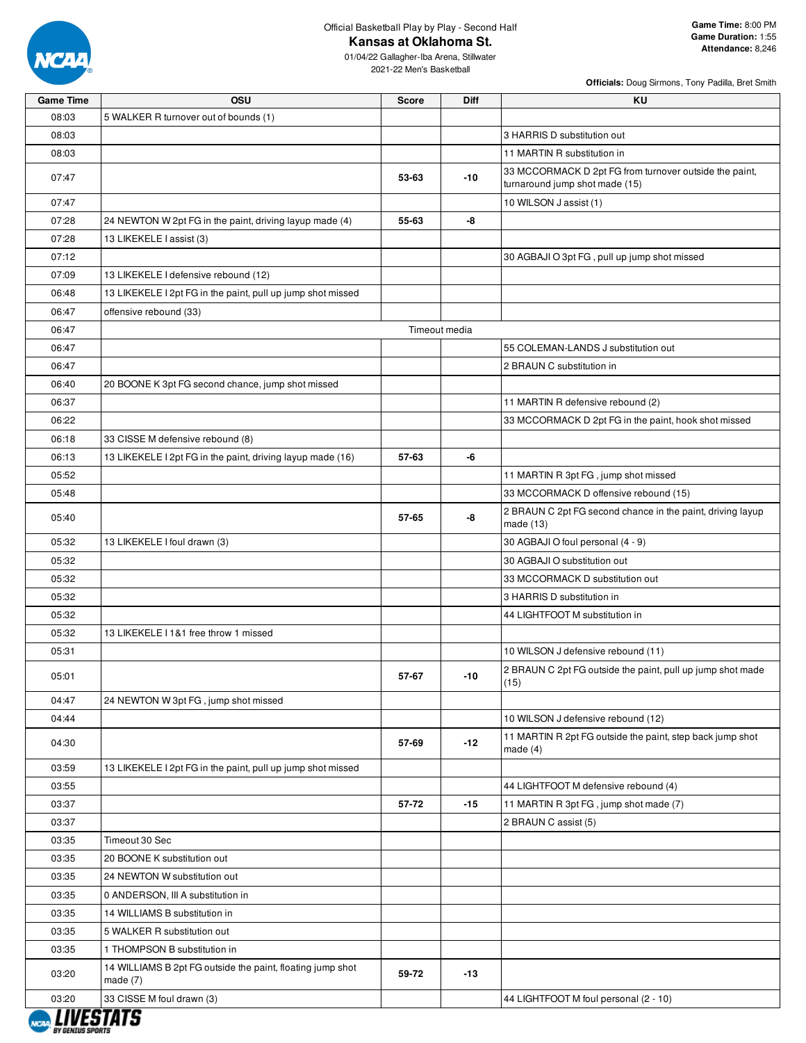

**Kansas at Oklahoma St.**

01/04/22 Gallagher-Iba Arena, Stillwater 2021-22 Men's Basketball

| <b>Officials:</b> Doug Sirmons, Tony Padilla, Bret Smith |  |  |  |
|----------------------------------------------------------|--|--|--|
|                                                          |  |  |  |

| <b>Game Time</b> | OSU                                                                      | <b>Score</b> | <b>Diff</b>   | KU                                                                                       |
|------------------|--------------------------------------------------------------------------|--------------|---------------|------------------------------------------------------------------------------------------|
| 08:03            | 5 WALKER R turnover out of bounds (1)                                    |              |               |                                                                                          |
| 08:03            |                                                                          |              |               | 3 HARRIS D substitution out                                                              |
| 08:03            |                                                                          |              |               | 11 MARTIN R substitution in                                                              |
| 07:47            |                                                                          | 53-63        | $-10$         | 33 MCCORMACK D 2pt FG from turnover outside the paint,<br>turnaround jump shot made (15) |
| 07:47            |                                                                          |              |               | 10 WILSON J assist (1)                                                                   |
| 07:28            | 24 NEWTON W 2pt FG in the paint, driving layup made (4)                  | 55-63        | -8            |                                                                                          |
| 07:28            | 13 LIKEKELE I assist (3)                                                 |              |               |                                                                                          |
| 07:12            |                                                                          |              |               | 30 AGBAJI O 3pt FG, pull up jump shot missed                                             |
| 07:09            | 13 LIKEKELE I defensive rebound (12)                                     |              |               |                                                                                          |
| 06:48            | 13 LIKEKELE I 2pt FG in the paint, pull up jump shot missed              |              |               |                                                                                          |
| 06:47            | offensive rebound (33)                                                   |              |               |                                                                                          |
| 06:47            |                                                                          |              | Timeout media |                                                                                          |
| 06:47            |                                                                          |              |               | 55 COLEMAN-LANDS J substitution out                                                      |
| 06:47            |                                                                          |              |               | 2 BRAUN C substitution in                                                                |
| 06:40            | 20 BOONE K 3pt FG second chance, jump shot missed                        |              |               |                                                                                          |
| 06:37            |                                                                          |              |               | 11 MARTIN R defensive rebound (2)                                                        |
| 06:22            |                                                                          |              |               | 33 MCCORMACK D 2pt FG in the paint, hook shot missed                                     |
| 06:18            | 33 CISSE M defensive rebound (8)                                         |              |               |                                                                                          |
| 06:13            | 13 LIKEKELE I 2pt FG in the paint, driving layup made (16)               | 57-63        | -6            |                                                                                          |
| 05:52            |                                                                          |              |               | 11 MARTIN R 3pt FG, jump shot missed                                                     |
| 05:48            |                                                                          |              |               | 33 MCCORMACK D offensive rebound (15)                                                    |
| 05:40            |                                                                          | 57-65        | -8            | 2 BRAUN C 2pt FG second chance in the paint, driving layup<br>made $(13)$                |
| 05:32            | 13 LIKEKELE I foul drawn (3)                                             |              |               | 30 AGBAJI O foul personal (4 - 9)                                                        |
| 05:32            |                                                                          |              |               | 30 AGBAJI O substitution out                                                             |
| 05:32            |                                                                          |              |               | 33 MCCORMACK D substitution out                                                          |
| 05:32            |                                                                          |              |               | 3 HARRIS D substitution in                                                               |
| 05:32            |                                                                          |              |               | 44 LIGHTFOOT M substitution in                                                           |
| 05:32            | 13 LIKEKELE I 1&1 free throw 1 missed                                    |              |               |                                                                                          |
| 05:31            |                                                                          |              |               | 10 WILSON J defensive rebound (11)                                                       |
| 05:01            |                                                                          | 57-67        | $-10$         | 2 BRAUN C 2pt FG outside the paint, pull up jump shot made<br>(15)                       |
| 04:47            | 24 NEWTON W 3pt FG, jump shot missed                                     |              |               |                                                                                          |
| 04:44            |                                                                          |              |               | 10 WILSON J defensive rebound (12)                                                       |
| 04:30            |                                                                          | 57-69        | $-12$         | 11 MARTIN R 2pt FG outside the paint, step back jump shot<br>made (4)                    |
| 03:59            | 13 LIKEKELE I 2pt FG in the paint, pull up jump shot missed              |              |               |                                                                                          |
| 03:55            |                                                                          |              |               | 44 LIGHTFOOT M defensive rebound (4)                                                     |
| 03:37            |                                                                          | 57-72        | $-15$         | 11 MARTIN R 3pt FG, jump shot made (7)                                                   |
| 03:37            |                                                                          |              |               | 2 BRAUN C assist (5)                                                                     |
| 03:35            | Timeout 30 Sec                                                           |              |               |                                                                                          |
| 03:35            | 20 BOONE K substitution out                                              |              |               |                                                                                          |
| 03:35            | 24 NEWTON W substitution out                                             |              |               |                                                                                          |
| 03:35            | 0 ANDERSON, III A substitution in                                        |              |               |                                                                                          |
| 03:35            | 14 WILLIAMS B substitution in                                            |              |               |                                                                                          |
| 03:35            | 5 WALKER R substitution out                                              |              |               |                                                                                          |
| 03:35            | 1 THOMPSON B substitution in                                             |              |               |                                                                                          |
| 03:20            | 14 WILLIAMS B 2pt FG outside the paint, floating jump shot<br>made $(7)$ | 59-72        | -13           |                                                                                          |
| 03:20            | 33 CISSE M foul drawn (3)                                                |              |               | 44 LIGHTFOOT M foul personal (2 - 10)                                                    |
|                  |                                                                          |              |               |                                                                                          |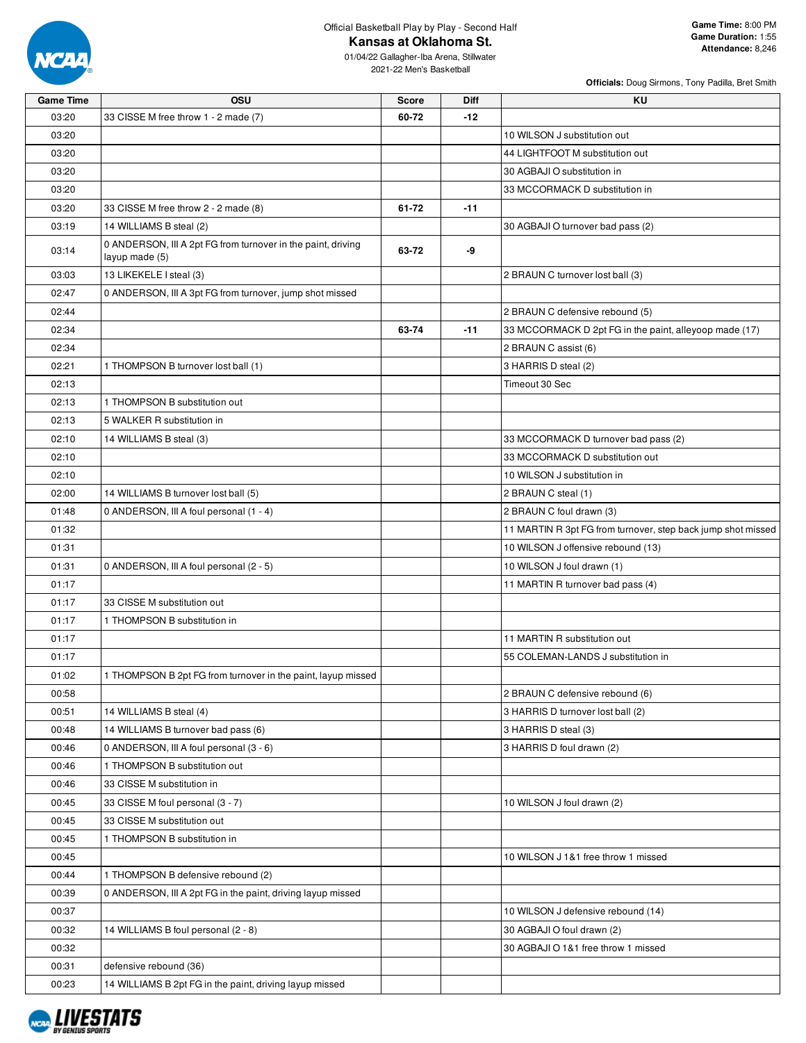

**Kansas at Oklahoma St.**

01/04/22 Gallagher-Iba Arena, Stillwater 2021-22 Men's Basketball

| <b>Game Time</b> | osu                                                                            | Score | <b>Diff</b> | ΚU                                                           |
|------------------|--------------------------------------------------------------------------------|-------|-------------|--------------------------------------------------------------|
| 03:20            | 33 CISSE M free throw 1 - 2 made (7)                                           | 60-72 | $-12$       |                                                              |
| 03:20            |                                                                                |       |             | 10 WILSON J substitution out                                 |
| 03:20            |                                                                                |       |             | 44 LIGHTFOOT M substitution out                              |
| 03:20            |                                                                                |       |             | 30 AGBAJI O substitution in                                  |
| 03:20            |                                                                                |       |             | 33 MCCORMACK D substitution in                               |
| 03:20            | 33 CISSE M free throw 2 - 2 made (8)                                           | 61-72 | $-11$       |                                                              |
| 03:19            | 14 WILLIAMS B steal (2)                                                        |       |             | 30 AGBAJI O turnover bad pass (2)                            |
| 03:14            | 0 ANDERSON, III A 2pt FG from turnover in the paint, driving<br>layup made (5) | 63-72 | -9          |                                                              |
| 03:03            | 13 LIKEKELE I steal (3)                                                        |       |             | 2 BRAUN C turnover lost ball (3)                             |
| 02:47            | 0 ANDERSON, III A 3pt FG from turnover, jump shot missed                       |       |             |                                                              |
| 02:44            |                                                                                |       |             | 2 BRAUN C defensive rebound (5)                              |
| 02:34            |                                                                                | 63-74 | $-11$       | 33 MCCORMACK D 2pt FG in the paint, alleyoop made (17)       |
| 02:34            |                                                                                |       |             | 2 BRAUN C assist (6)                                         |
| 02:21            | 1 THOMPSON B turnover lost ball (1)                                            |       |             | 3 HARRIS D steal (2)                                         |
| 02:13            |                                                                                |       |             | Timeout 30 Sec                                               |
| 02:13            | 1 THOMPSON B substitution out                                                  |       |             |                                                              |
| 02:13            | 5 WALKER R substitution in                                                     |       |             |                                                              |
| 02:10            | 14 WILLIAMS B steal (3)                                                        |       |             | 33 MCCORMACK D turnover bad pass (2)                         |
| 02:10            |                                                                                |       |             | 33 MCCORMACK D substitution out                              |
| 02:10            |                                                                                |       |             | 10 WILSON J substitution in                                  |
| 02:00            | 14 WILLIAMS B turnover lost ball (5)                                           |       |             | 2 BRAUN C steal (1)                                          |
| 01:48            | 0 ANDERSON, III A foul personal (1 - 4)                                        |       |             | 2 BRAUN C foul drawn (3)                                     |
| 01:32            |                                                                                |       |             | 11 MARTIN R 3pt FG from turnover, step back jump shot missed |
| 01:31            |                                                                                |       |             | 10 WILSON J offensive rebound (13)                           |
| 01:31            | 0 ANDERSON, III A foul personal (2 - 5)                                        |       |             | 10 WILSON J foul drawn (1)                                   |
| 01:17            |                                                                                |       |             | 11 MARTIN R turnover bad pass (4)                            |
| 01:17            | 33 CISSE M substitution out                                                    |       |             |                                                              |
| 01:17            | 1 THOMPSON B substitution in                                                   |       |             |                                                              |
| 01:17            |                                                                                |       |             | 11 MARTIN R substitution out                                 |
| 01:17            |                                                                                |       |             | 55 COLEMAN-LANDS J substitution in                           |
| 01:02            | 1 THOMPSON B 2pt FG from turnover in the paint, layup missed                   |       |             |                                                              |
| 00:58            |                                                                                |       |             | 2 BRAUN C defensive rebound (6)                              |
| 00:51            | 14 WILLIAMS B steal (4)                                                        |       |             | 3 HARRIS D turnover lost ball (2)                            |
| 00:48            | 14 WILLIAMS B turnover bad pass (6)                                            |       |             | 3 HARRIS D steal (3)                                         |
| 00:46            | 0 ANDERSON, III A foul personal (3 - 6)                                        |       |             | 3 HARRIS D foul drawn (2)                                    |
| 00:46            | 1 THOMPSON B substitution out                                                  |       |             |                                                              |
| 00:46            | 33 CISSE M substitution in                                                     |       |             |                                                              |
| 00:45            | 33 CISSE M foul personal (3 - 7)                                               |       |             | 10 WILSON J foul drawn (2)                                   |
| 00:45            | 33 CISSE M substitution out                                                    |       |             |                                                              |
| 00:45            | 1 THOMPSON B substitution in                                                   |       |             |                                                              |
| 00:45            |                                                                                |       |             | 10 WILSON J 1&1 free throw 1 missed                          |
| 00:44            | 1 THOMPSON B defensive rebound (2)                                             |       |             |                                                              |
| 00:39            | 0 ANDERSON, III A 2pt FG in the paint, driving layup missed                    |       |             |                                                              |
| 00:37            |                                                                                |       |             | 10 WILSON J defensive rebound (14)                           |
| 00:32            | 14 WILLIAMS B foul personal (2 - 8)                                            |       |             | 30 AGBAJI O foul drawn (2)                                   |
| 00:32            |                                                                                |       |             | 30 AGBAJI O 1&1 free throw 1 missed                          |
| 00:31            | defensive rebound (36)                                                         |       |             |                                                              |
| 00:23            | 14 WILLIAMS B 2pt FG in the paint, driving layup missed                        |       |             |                                                              |
|                  |                                                                                |       |             |                                                              |

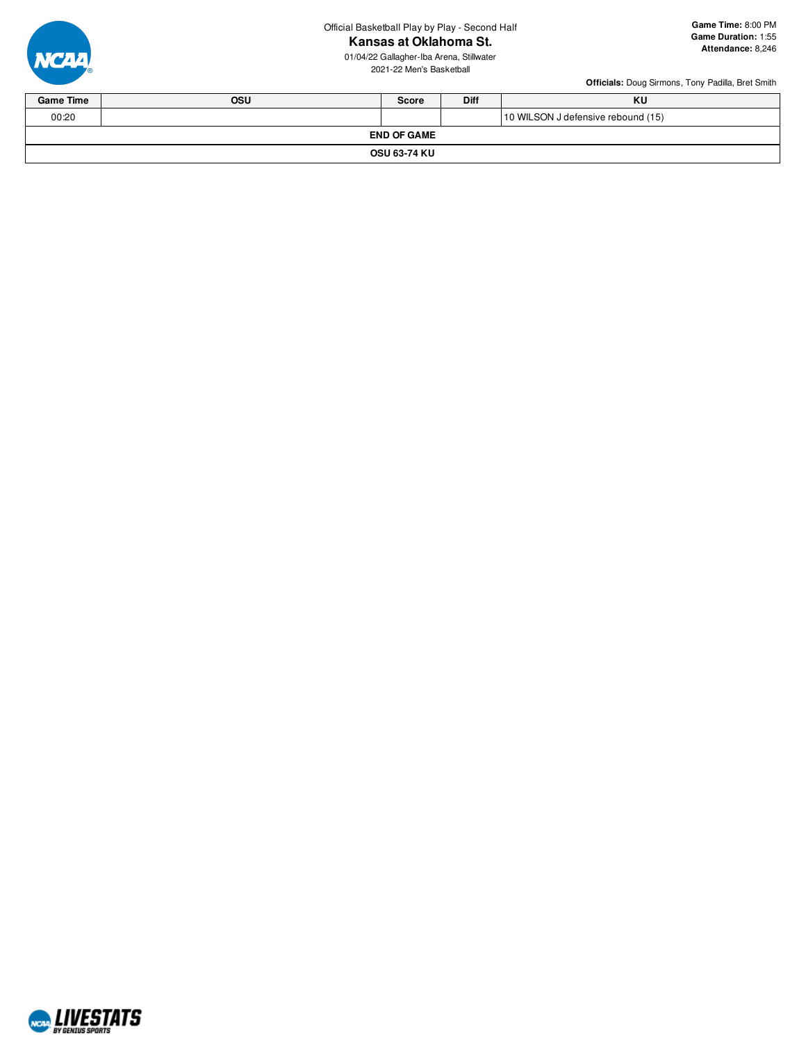**Kansas at Oklahoma St.**

01/04/22 Gallagher-Iba Arena, Stillwater 2021-22 Men's Basketball



| <b>Game Time</b>   | <b>OSU</b>          | <b>Score</b> | <b>Diff</b> | KU                                 |  |  |  |  |
|--------------------|---------------------|--------------|-------------|------------------------------------|--|--|--|--|
| 00:20              |                     |              |             | 10 WILSON J defensive rebound (15) |  |  |  |  |
| <b>END OF GAME</b> |                     |              |             |                                    |  |  |  |  |
|                    | <b>OSU 63-74 KU</b> |              |             |                                    |  |  |  |  |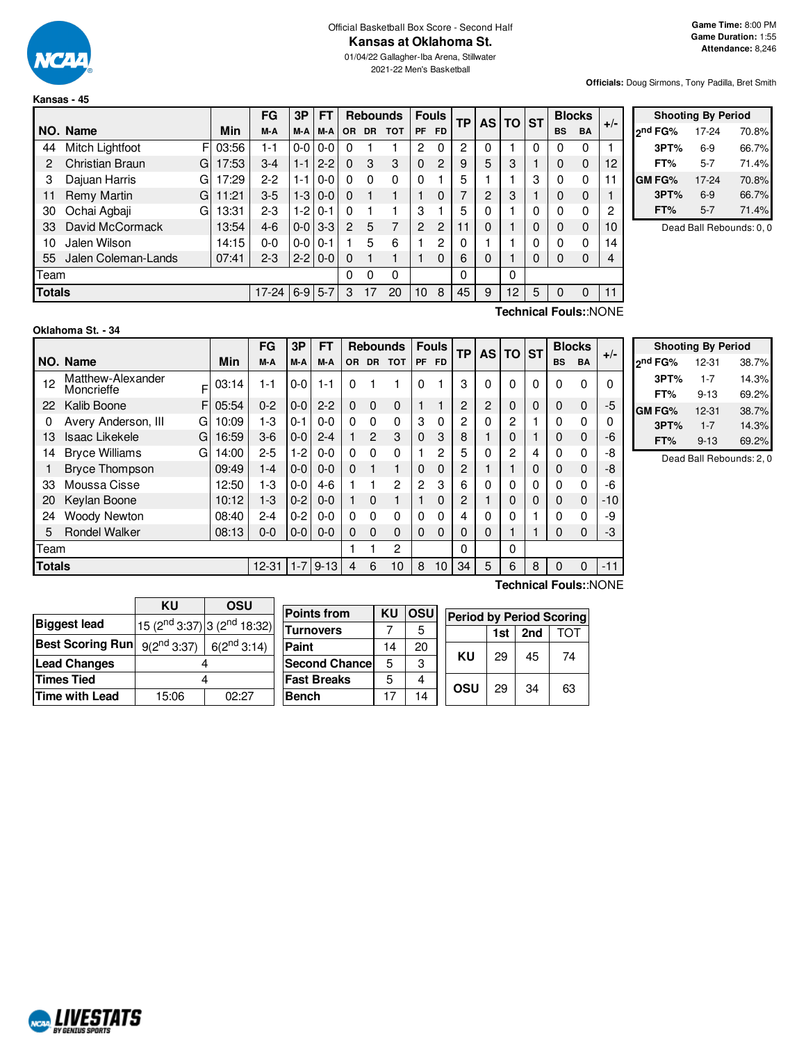

## Official Basketball Box Score - Second Half

**Kansas at Oklahoma St.**

01/04/22 Gallagher-Iba Arena, Stillwater 2021-22 Men's Basketball

**Officials:** Doug Sirmons, Tony Padilla, Bret Smith

|               |                     |   |       | FG        | 3P      | FT      |           | <b>Rebounds</b> |            | <b>Fouls</b>   |               | ΤP |                | AS TO ST |          | <b>Blocks</b> |           | $+/-$ |
|---------------|---------------------|---|-------|-----------|---------|---------|-----------|-----------------|------------|----------------|---------------|----|----------------|----------|----------|---------------|-----------|-------|
|               | NO. Name            |   | Min   | M-A       | M-A     | M-A     | <b>OR</b> | <b>DR</b>       | <b>TOT</b> | PF             | <b>FD</b>     |    |                |          |          | <b>BS</b>     | <b>BA</b> |       |
| 44            | Mitch Lightfoot     | F | 03:56 | 1-1       | $0-0$   | $0 - 0$ | 0         |                 |            | $\overline{2}$ | 0             | 2  | 0              |          | 0        | 0             | 0         |       |
| 2             | Christian Braun     | G | 17:53 | $3-4$     | $1 - 1$ | $2 - 2$ | $\Omega$  | 3               | 3          | $\Omega$       | $\mathcal{P}$ | 9  | 5              | 3        |          | 0             | 0         | 12    |
| 3             | Dajuan Harris       | G | 17:29 | $2-2$     | 1-1     | $0 - 0$ | $\Omega$  | 0               | $\Omega$   | $\Omega$       |               | 5  |                |          | 3        | 0             | 0         | 11    |
| 11            | Remy Martin         | G | 11:21 | $3-5$     | $1-3$   | $0 - 0$ | $\Omega$  |                 |            |                | $\Omega$      | 7  | $\overline{c}$ | 3        |          | 0             | 0         |       |
| 30            | Ochai Agbaji        | G | 13:31 | $2 - 3$   | $1-2$   | $0 - 1$ | $\Omega$  |                 |            | 3              |               | 5  | 0              |          | 0        | $\Omega$      | 0         | 2     |
| 33            | David McCormack     |   | 13:54 | $4-6$     | $0-0$   | $3 - 3$ | 2         | 5               | 7          | 2              | 2             | 11 | 0              |          | $\Omega$ | $\mathbf 0$   | $\Omega$  | 10    |
| 10            | Jalen Wilson        |   | 14:15 | $0 - 0$   | $0-0$   | $0 - 1$ |           | 5               | 6          |                | 2             | 0  |                |          | 0        | $\Omega$      | 0         | 14    |
| 55            | Jalen Coleman-Lands |   | 07:41 | $2 - 3$   | $2 - 2$ | $0 - 0$ | $\Omega$  |                 |            |                | $\Omega$      | 6  | 0              |          | 0        | $\Omega$      | 0         | 4     |
| Team          |                     |   |       |           |         |         | 0         | 0               | 0          |                |               | 0  |                | 0        |          |               |           |       |
| <b>Totals</b> |                     |   |       | $17 - 24$ | $6-9$   | $5 - 7$ | 3         | 17              | 20         | 10             | 8             | 45 | 9              | 12       | 5        | $\mathbf 0$   | 0         | 11    |

|                     | <b>Shooting By Period</b> |       |  |  |  |  |  |  |  |  |  |  |
|---------------------|---------------------------|-------|--|--|--|--|--|--|--|--|--|--|
| <sub>2</sub> nd FG% | 17-24                     | 70.8% |  |  |  |  |  |  |  |  |  |  |
| 3PT%                | 6-9                       | 66.7% |  |  |  |  |  |  |  |  |  |  |
| FT%                 | $5 - 7$                   | 71.4% |  |  |  |  |  |  |  |  |  |  |
| <b>GM FG%</b>       | 17-24                     | 70.8% |  |  |  |  |  |  |  |  |  |  |
| 3PT%                | $6-9$                     | 66.7% |  |  |  |  |  |  |  |  |  |  |
| FT%                 | $5 - 7$                   | 71.4% |  |  |  |  |  |  |  |  |  |  |

Dead Ball Rebounds: 0, 0

| Oklahoma St. - 34 |  |
|-------------------|--|
|                   |  |

**Technical Fouls:**:NONE

|               |                                      |       | FG        | 3P      | FT       |          |           | <b>Rebounds</b> |                | <b>Fouls</b>   | <b>TP</b> |          | AS TO ST |          |           | <b>Blocks</b> | $+/-$ |
|---------------|--------------------------------------|-------|-----------|---------|----------|----------|-----------|-----------------|----------------|----------------|-----------|----------|----------|----------|-----------|---------------|-------|
|               | NO. Name                             | Min   | M-A       | M-A     | M-A      | OR.      | <b>DR</b> | <b>TOT</b>      | <b>PF</b>      | <b>FD</b>      |           |          |          |          | <b>BS</b> | <b>BA</b>     |       |
| 12            | Matthew-Alexander<br>F<br>Moncrieffe | 03:14 | $1 - 1$   | $0-0$   | $1 - 1$  | $\Omega$ |           | 1               | $\Omega$       |                | 3         | $\Omega$ | $\Omega$ | $\Omega$ | $\Omega$  | 0             |       |
| 22            | Kalib Boone<br>F.                    | 05:54 | $0 - 2$   | $0-0$   | $2 - 2$  | $\Omega$ | $\Omega$  | $\mathbf 0$     |                |                | 2         | 2        | 0        | $\Omega$ | 0         | $\mathbf 0$   | -5    |
| 0             | Avery Anderson, III<br>G             | 10:09 | 1-3       | $0 - 1$ | $0 - 0$  | $\Omega$ | 0         | 0               | 3              | $\Omega$       | 2         | 0        | 2        |          | 0         | 0             |       |
| 13            | <b>Isaac Likekele</b><br>GI          | 16:59 | $3-6$     | $0-0$   | $2 - 4$  |          | 2         | 3               | $\Omega$       | 3              | 8         |          |          |          | $\Omega$  | $\mathbf 0$   | -6    |
| 14            | <b>Bryce Williams</b><br>G           | 14:00 | $2 - 5$   | 1-2     | $0 - 0$  | 0        | 0         | 0               |                | $\overline{2}$ | 5         | 0        | 2        | 4        | 0         | 0             | -8    |
|               | <b>Bryce Thompson</b>                | 09:49 | $1 - 4$   | $0 - 0$ | $0 - 0$  | $\Omega$ |           | 1               | 0              | $\Omega$       | 2         |          |          |          | 0         | $\Omega$      | -8    |
| 33            | Moussa Cisse                         | 12:50 | 1-3       | $0 - 0$ | $4-6$    |          |           | 2               | $\overline{c}$ | 3              | 6         | 0        | 0        | $\Omega$ | O         | 0             | -6    |
| 20            | Keylan Boone                         | 10:12 | $1-3$     | $0 - 2$ | $0 - 0$  |          | 0         |                 |                | $\Omega$       | 2         |          |          | $\Omega$ | $\Omega$  | $\mathbf{0}$  | $-10$ |
| 24            | <b>Woody Newton</b>                  | 08:40 | $2 - 4$   | $0 - 2$ | $0 - 0$  | 0        | 0         | 0               | $\Omega$       | $\Omega$       | 4         | 0        |          |          | O         | $\Omega$      | -9    |
| 5             | <b>Rondel Walker</b>                 | 08:13 | $0 - 0$   | $0-0$   | $0 - 0$  | $\Omega$ | 0         | $\Omega$        | $\Omega$       | $\Omega$       | 0         | $\Omega$ |          |          | $\Omega$  | $\mathbf 0$   | -3    |
| Team          |                                      |       |           |         |          |          |           | 2               |                |                | $\Omega$  |          | 0        |          |           |               |       |
| <b>Totals</b> |                                      |       | $12 - 31$ | $1 - 7$ | $9 - 13$ | 4        | 6         | 10              | 8              | 10             | 34        | 5        | 6        | 8        | $\Omega$  | $\Omega$      | $-11$ |

|                     | <b>Shooting By Period</b> |       |
|---------------------|---------------------------|-------|
| 2 <sup>nd</sup> FG% | 12-31                     | 38.7% |
| 3PT%                | $1 - 7$                   | 14.3% |
| FT%                 | $9 - 13$                  | 69.2% |
| GM FG%              | $12 - 31$                 | 38.7% |
| 3PT%                | $1 - 7$                   | 14.3% |
| FT%                 | $9 - 13$                  | 69.2% |

Dead Ball Rebounds: 2, 0

|                         | ΚU                                      | OSU                                     |
|-------------------------|-----------------------------------------|-----------------------------------------|
| <b>Biggest lead</b>     |                                         | 15 ( $2^{nd}$ 3:37) 3 ( $2^{nd}$ 18:32) |
| <b>Best Scoring Run</b> | $9(2^{nd}3:37)$ 6(2 <sup>nd</sup> 3:14) |                                         |
| <b>Lead Changes</b>     |                                         |                                         |
| <b>Times Tied</b>       |                                         |                                         |
| Time with Lead          | 15:06                                   | በ2·27                                   |

| <b>Points from</b>    | ΚU | <b>OSU</b> | <b>Period by Period Scoring</b> |     |     |                 |
|-----------------------|----|------------|---------------------------------|-----|-----|-----------------|
| <b>Turnovers</b>      |    |            |                                 | 1st | 2nd | ТОТ<br>74<br>63 |
| Paint                 | 14 | 20         |                                 |     |     |                 |
| <b>Second Chancel</b> | 5  | 3          | KU                              | 29  | 45  |                 |
| <b>Fast Breaks</b>    | 5  |            | OSU                             | 29  | 34  |                 |
| <b>Bench</b>          | 17 | 14         |                                 |     |     |                 |

**Technical Fouls:**:NONE

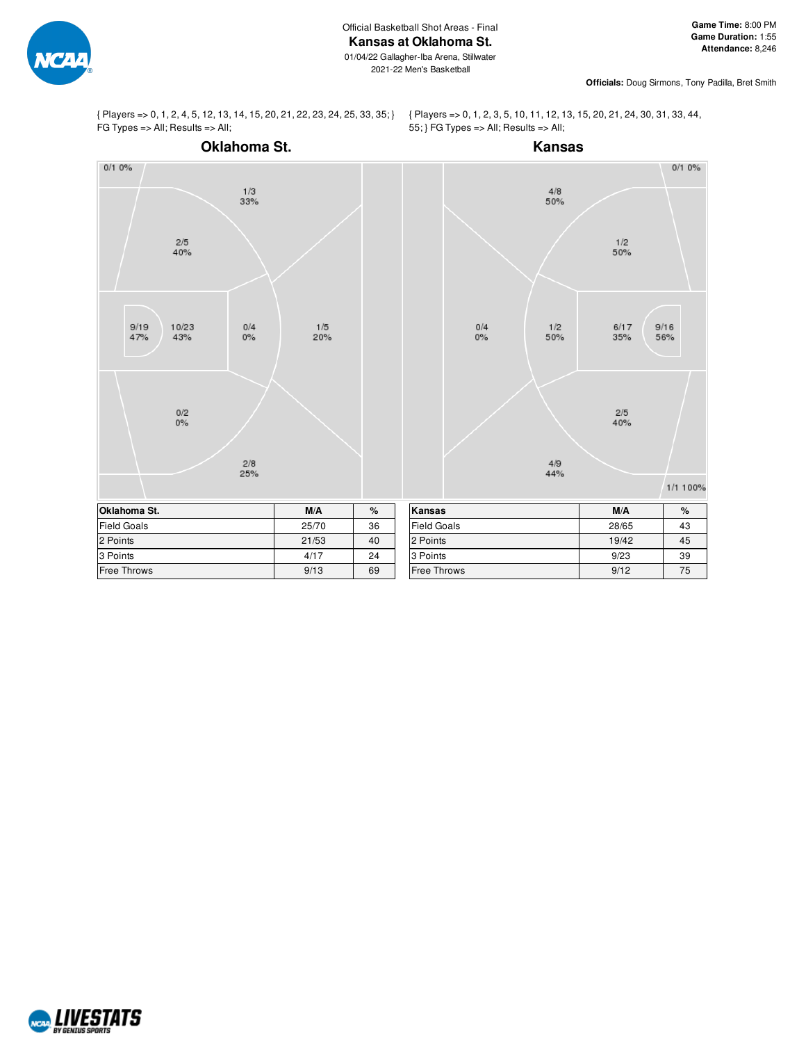

**Officials:** Doug Sirmons, Tony Padilla, Bret Smith

{ Players => 0, 1, 2, 4, 5, 12, 13, 14, 15, 20, 21, 22, 23, 24, 25, 33, 35; } FG Types => All; Results => All;

{ Players => 0, 1, 2, 3, 5, 10, 11, 12, 13, 15, 20, 21, 24, 30, 31, 33, 44, 55; } FG Types => All; Results => All;



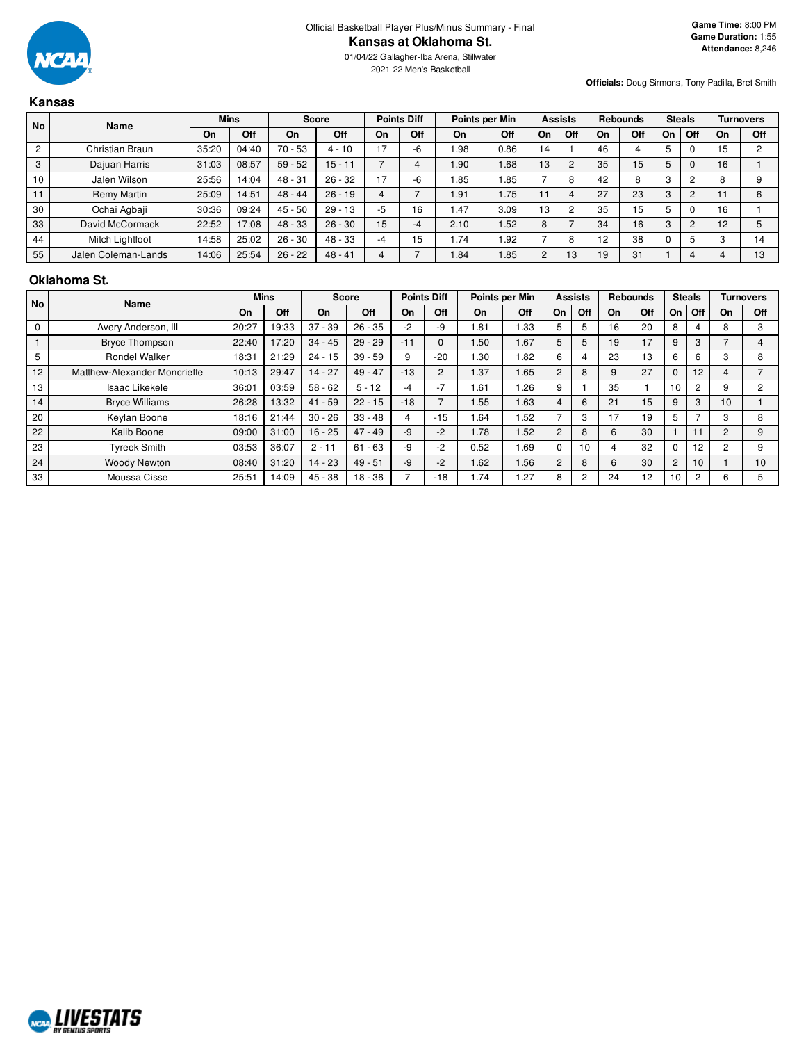2021-22 Men's Basketball

**Officials:** Doug Sirmons, Tony Padilla, Bret Smith

## **Kansas**

| <b>No</b>      | <b>Name</b>         |       | <b>Mins</b> | <b>Score</b> |           |    | <b>Points Diff</b> |       | Points per Min |                | <b>Assists</b> |    | <b>Rebounds</b> |    | <b>Steals</b>  |    | <b>Turnovers</b> |
|----------------|---------------------|-------|-------------|--------------|-----------|----|--------------------|-------|----------------|----------------|----------------|----|-----------------|----|----------------|----|------------------|
|                |                     | On    | Off         | On           | Off       | On | Off                | On    | Off            | On             | Off            | On | Off             | On | Off            | On | Off              |
| $\overline{2}$ | Christian Braun     | 35:20 | 04:40       | $70 - 53$    | $4 - 10$  | 17 | -6                 | .98   | 0.86           | 14             |                | 46 |                 |    | 0              | 15 | C                |
| 3              | Dajuan Harris       | 31:03 | 08:57       | $59 - 52$    | $15 - 11$ |    |                    | .90   | 1.68           | 13             | $\overline{2}$ | 35 | 15              | 5  | $\Omega$       | 16 |                  |
| 10             | Jalen Wilson        | 25:56 | 14:04       | $48 - 31$    | $26 - 32$ | 17 | -6                 | .85   | 1.85           |                | 8              | 42 |                 | 3  | $\overline{2}$ | o  |                  |
| 11             | Remy Martin         | 25:09 | 14:51       | $48 - 44$    | $26 - 19$ | 4  |                    | i .91 | 1.75           |                | $\overline{4}$ | 27 | 23              | 3  | $\overline{2}$ | 11 | 6                |
| 30             | Ochai Agbaji        | 30:36 | 09:24       | $45 - 50$    | $29 - 13$ | -5 | 16                 | .47   | 3.09           | 13             | 2              | 35 | 15              |    | $\Omega$       | 16 |                  |
| 33             | David McCormack     | 22:52 | 17:08       | $48 - 33$    | $26 - 30$ | 15 | -4                 | 2.10  | 1.52           | 8              | $\overline{ }$ | 34 | 16              | 3  | $\overline{2}$ | 12 |                  |
| 44             | Mitch Lightfoot     | 14:58 | 25:02       | $26 - 30$    | $48 - 33$ | -4 | 15                 | . 74  | 1.92           |                | 8              | 12 | 38              |    | 5              |    | 14               |
| 55             | Jalen Coleman-Lands | 14:06 | 25:54       | $26 - 22$    | $48 - 41$ | 4  |                    | .84   | 1.85           | $\overline{c}$ | 13             | 19 | 31              |    | 4              |    | 13               |

#### **Oklahoma St.**

| <b>No</b>   | <b>Name</b>                  |       | <b>Mins</b> |           | <b>Score</b> |       | <b>Points Diff</b> |      | Points per Min |                | <b>Assists</b> |    | <b>Rebounds</b> |                | <b>Steals</b>  |                | <b>Turnovers</b> |
|-------------|------------------------------|-------|-------------|-----------|--------------|-------|--------------------|------|----------------|----------------|----------------|----|-----------------|----------------|----------------|----------------|------------------|
|             |                              | On    | <b>Off</b>  | On        | Off          | On    | Off                | On   | <b>Off</b>     | On             | Off            | On | Off             | On             | Off            | On             | Off              |
| $\mathbf 0$ | Avery Anderson, III          | 20:27 | 19:33       | $37 - 39$ | $26 - 35$    | $-2$  | -9                 | .81  | .33            | 5              | 5              | 16 | 20              | 8              |                | 8              |                  |
|             | <b>Bryce Thompson</b>        | 22:40 | 17:20       | $34 - 45$ | $29 - 29$    | $-11$ | $\Omega$           | .50  | 1.67           | 5              | 5              | 19 | 17              | 9              | 3              |                |                  |
| 5           | <b>Rondel Walker</b>         | 18:31 | 21:29       | $24 - 15$ | $39 - 59$    | 9     | $-20$              | .30  | .82            | 6              | 4              | 23 | 13              | 6              | 6              | 3              | 8                |
| 12          | Matthew-Alexander Moncrieffe | 10:13 | 29:47       | $14 - 27$ | $49 - 47$    | $-13$ | $\overline{2}$     | .37  | 1.65           | $\overline{2}$ | 8              | 9  | 27              | $\mathbf{0}$   | 12             | 4              |                  |
| 13          | Isaac Likekele               | 36:01 | 03:59       | $58 - 62$ | $5 - 12$     | -4    | $-7$               | .61  | .26            | 9              |                | 35 |                 | 10             | $\overline{2}$ | 9              | 2                |
| 14          | <b>Bryce Williams</b>        | 26:28 | 13:32       | $41 - 59$ | $22 - 15$    | $-18$ |                    | .55  | 1.63           | 4              | 6              | 21 | 15              | 9              | 3              | 10             |                  |
| 20          | Keylan Boone                 | 18:16 | 21:44       | $30 - 26$ | $33 - 48$    | 4     | $-15$              | .64  | .52            |                | 3              | 17 | 19              | 5              | –              | 3              | 8                |
| 22          | Kalib Boone                  | 09:00 | 31:00       | $16 - 25$ | $47 - 49$    | -9    | -2                 | 1.78 | 1.52           | $\overline{2}$ | 8              | 6  | 30              |                |                | $\overline{c}$ | 9                |
| 23          | <b>Tyreek Smith</b>          | 03:53 | 36:07       | $2 - 11$  | $61 - 63$    | -9    | -2                 | 0.52 | . 69           | $\Omega$       | 10             | 4  | 32              | $\Omega$       | 12             | $\overline{2}$ | 9                |
| 24          | <b>Woody Newton</b>          | 08:40 | 31:20       | 14 - 23   | $49 - 51$    | $-9$  | -2                 | 1.62 | 1.56           | $\overline{2}$ | 8              | 6  | 30              | $\overline{2}$ | 10             |                | 10               |
| 33          | Moussa Cisse                 | 25:51 | 14:09       | $45 - 38$ | $18 - 36$    |       | $-18$              | 1.74 | .27            | 8              | 2              | 24 | 12              | 10             | $\overline{2}$ | 6              |                  |

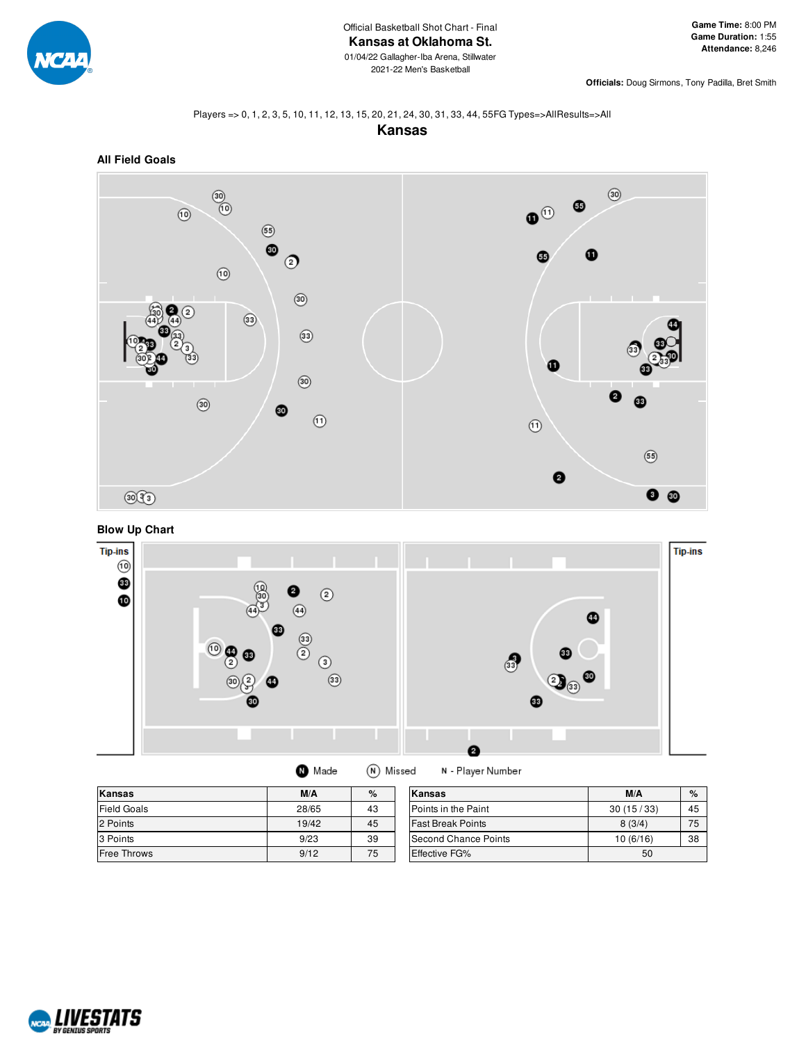

**Officials:** Doug Sirmons, Tony Padilla, Bret Smith

#### Players => 0, 1, 2, 3, 5, 10, 11, 12, 13, 15, 20, 21, 24, 30, 31, 33, 44, 55FG Types=>AllResults=>All

**Kansas**







| <b>Kansas</b>      | M/A   | $\%$ | Kansas                     | M/A       | $\%$ |
|--------------------|-------|------|----------------------------|-----------|------|
| <b>Field Goals</b> | 28/65 | 43   | <b>Points in the Paint</b> | 30(15/33) | 45   |
| 2 Points           | 19/42 | 45   | <b>Fast Break Points</b>   | 8(3/4)    | 75   |
| 3 Points           | 9/23  | 39   | Second Chance Points       | 10(6/16)  | 38   |
| Free Throws        | 9/12  | 75   | <b>Effective FG%</b>       | 50        |      |

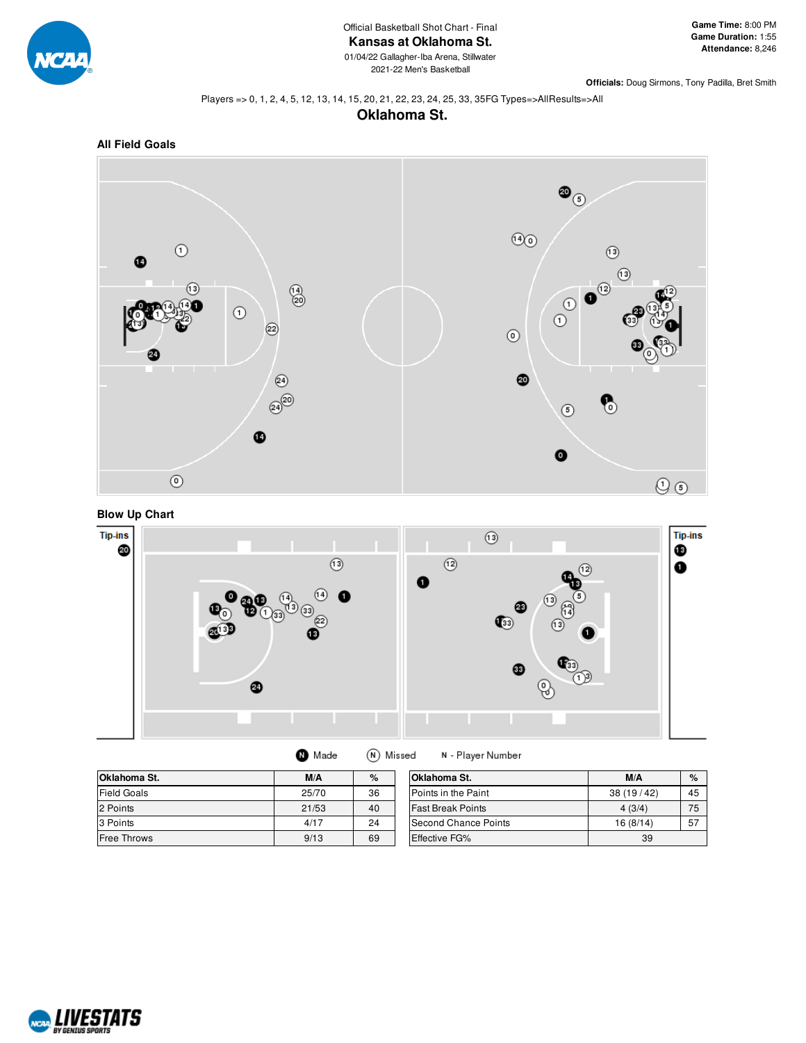

2021-22 Men's Basketball

**Officials:** Doug Sirmons, Tony Padilla, Bret Smith

#### Players => 0, 1, 2, 4, 5, 12, 13, 14, 15, 20, 21, 22, 23, 24, 25, 33, 35FG Types=>AllResults=>All











| Made | (N) Misse |
|------|-----------|
|      |           |

ed N - Player Number

| Oklahoma St.       | M/A   | %  | Oklahoma St.               | M/A       | $\%$ |
|--------------------|-------|----|----------------------------|-----------|------|
| <b>Field Goals</b> | 25/70 | 36 | <b>Points in the Paint</b> | 38(19/42) | 45   |
| 2 Points           | 21/53 | 40 | <b>Fast Break Points</b>   | 4(3/4)    | 75   |
| 3 Points           | 4/17  | 24 | Second Chance Points       | 16(8/14)  | 57   |
| <b>Free Throws</b> | 9/13  | 69 | <b>Effective FG%</b>       | 39        |      |

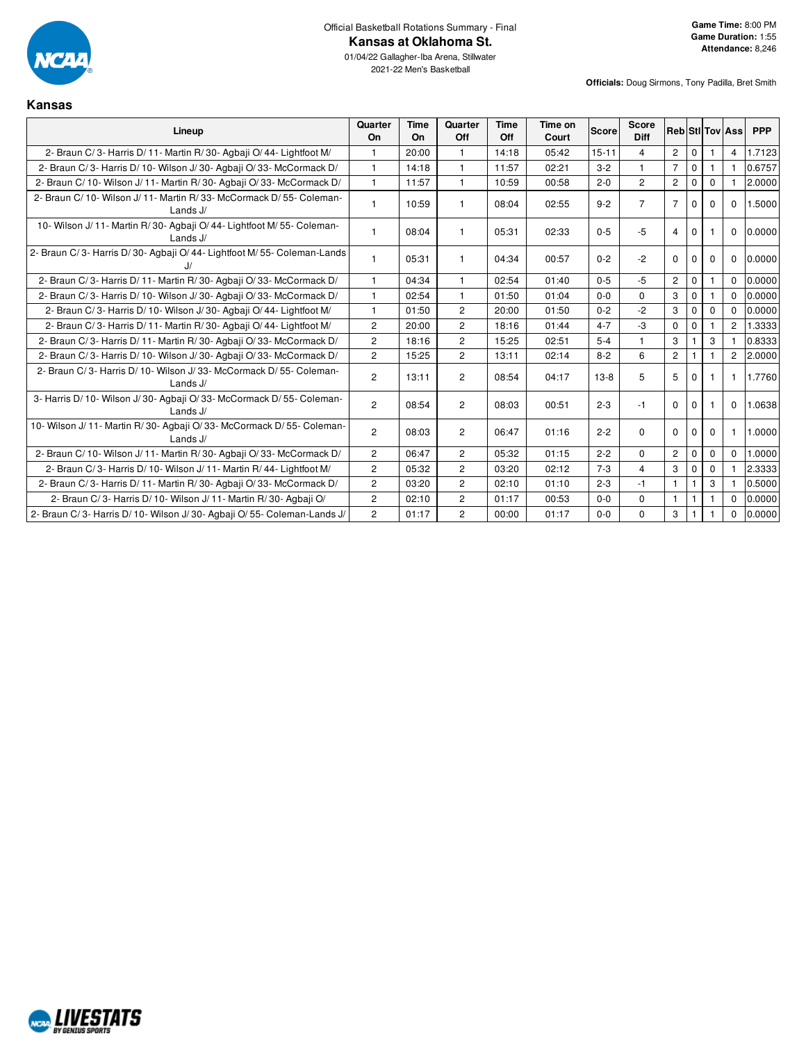

Official Basketball Rotations Summary - Final **Kansas at Oklahoma St.**

01/04/22 Gallagher-Iba Arena, Stillwater 2021-22 Men's Basketball

**Officials:** Doug Sirmons, Tony Padilla, Bret Smith

## **Kansas**

| Lineup                                                                                | Quarter<br>On  | <b>Time</b><br>On | Quarter<br>Off | Time<br>Off | Time on<br>Court | Score     | <b>Score</b><br><b>Diff</b> | <b>Reb</b> StilTov Ass |              |             |                | <b>PPP</b> |
|---------------------------------------------------------------------------------------|----------------|-------------------|----------------|-------------|------------------|-----------|-----------------------------|------------------------|--------------|-------------|----------------|------------|
| 2- Braun C/3- Harris D/11- Martin R/30- Agbaji O/44- Lightfoot M/                     | -1             | 20:00             |                | 14:18       | 05:42            | $15 - 11$ | 4                           | $\overline{c}$         | $\Omega$     |             | $\overline{4}$ | 1.7123     |
| 2- Braun C/3- Harris D/10- Wilson J/30- Agbaji O/33- McCormack D/                     | $\mathbf{1}$   | 14:18             | $\overline{1}$ | 11:57       | 02:21            | $3 - 2$   | $\mathbf{1}$                | $\overline{7}$         | $\mathbf{0}$ |             |                | 0.6757     |
| 2- Braun C/10- Wilson J/11- Martin R/30- Agbaii O/33- McCormack D/                    | $\mathbf{1}$   | 11:57             | $\overline{1}$ | 10:59       | 00:58            | $2 - 0$   | $\overline{c}$              | $\overline{2}$         | $\Omega$     | $\Omega$    |                | 2.0000     |
| 2- Braun C/ 10- Wilson J/ 11- Martin R/ 33- McCormack D/ 55- Coleman-<br>Lands J/     | $\mathbf{1}$   | 10:59             |                | 08:04       | 02:55            | $9 - 2$   | $\overline{7}$              | $\overline{7}$         | $\Omega$     | $\Omega$    | $\mathbf 0$    | 1.5000     |
| 10- Wilson J/ 11- Martin R/ 30- Agbaji O/ 44- Lightfoot M/ 55- Coleman-<br>Lands $J/$ | $\mathbf{1}$   | 08:04             |                | 05:31       | 02:33            | $0 - 5$   | $-5$                        | $\overline{4}$         | $\Omega$     |             | $\Omega$       | 0.0000     |
| 2- Braun C/3- Harris D/30- Agbaji O/44- Lightfoot M/55- Coleman-Lands                 | 1              | 05:31             |                | 04:34       | 00:57            | $0 - 2$   | $-2$                        | $\Omega$               | $\Omega$     | $\Omega$    | $\mathbf 0$    | 0.0000     |
| 2- Braun C/3- Harris D/11- Martin R/30- Agbaii O/33- McCormack D/                     | $\mathbf{1}$   | 04:34             |                | 02:54       | 01:40            | $0 - 5$   | -5                          | $\overline{2}$         | $\Omega$     |             | $\Omega$       | 0.0000     |
| 2- Braun C/3- Harris D/10- Wilson J/30- Agbaji O/33- McCormack D/                     | $\mathbf{1}$   | 02:54             | $\mathbf{1}$   | 01:50       | 01:04            | $0 - 0$   | $\Omega$                    | 3                      | $\Omega$     |             | $\Omega$       | 0.0000     |
| 2- Braun C/3- Harris D/10- Wilson J/30- Agbaii O/44- Lightfoot M/                     | $\mathbf{1}$   | 01:50             | $\overline{2}$ | 20:00       | 01:50            | $0 - 2$   | $-2$                        | 3                      | 0            | $\Omega$    | $\Omega$       | 0.0000     |
| 2- Braun C/3- Harris D/11- Martin R/30- Agbaji O/44- Lightfoot M/                     | $\overline{2}$ | 20:00             | $\overline{2}$ | 18:16       | 01:44            | $4 - 7$   | -3                          | $\mathbf 0$            | $\mathbf 0$  |             | $\overline{c}$ | 1.3333     |
| 2- Braun C/3- Harris D/11- Martin R/30- Agbaii O/33- McCormack D/                     | $\overline{2}$ | 18:16             | $\overline{2}$ | 15:25       | 02:51            | $5 - 4$   | $\mathbf{1}$                | 3                      |              | 3           |                | 0.8333     |
| 2- Braun C/3- Harris D/10- Wilson J/30- Agbaii O/33- McCormack D/                     | $\overline{2}$ | 15:25             | $\overline{2}$ | 13:11       | 02:14            | $8 - 2$   | 6                           | $\overline{c}$         |              |             | $\overline{2}$ | 2.0000     |
| 2- Braun C/3- Harris D/10- Wilson J/33- McCormack D/55- Coleman-<br>Lands $J/$        | $\overline{2}$ | 13:11             | $\overline{2}$ | 08:54       | 04:17            | $13-8$    | 5                           | 5                      | $\Omega$     |             |                | 1.7760     |
| 3- Harris D/ 10- Wilson J/ 30- Agbaji O/ 33- McCormack D/ 55- Coleman-<br>Lands J/    | $\overline{2}$ | 08:54             | $\overline{c}$ | 08:03       | 00:51            | $2 - 3$   | -1                          | $\Omega$               | $\Omega$     |             | $\mathbf 0$    | 1.0638     |
| 10- Wilson J/ 11- Martin R/ 30- Agbaji O/ 33- McCormack D/ 55- Coleman-<br>Lands J/   | $\overline{2}$ | 08:03             | $\overline{c}$ | 06:47       | 01:16            | $2 - 2$   | $\Omega$                    | $\Omega$               | 0            | $\Omega$    |                | 1.0000     |
| 2- Braun C/10- Wilson J/11- Martin R/30- Agbaji O/33- McCormack D/                    | $\overline{2}$ | 06:47             | $\overline{2}$ | 05:32       | 01:15            | $2 - 2$   | $\Omega$                    | $\overline{2}$         | 0            | $\mathbf 0$ | $\Omega$       | 1.0000     |
| 2- Braun C/3- Harris D/10- Wilson J/11- Martin R/44- Lightfoot M/                     | 2              | 05:32             | $\overline{c}$ | 03:20       | 02:12            | $7-3$     | 4                           | 3                      | $\Omega$     | $\Omega$    |                | 2.3333     |
| 2- Braun C/3- Harris D/11- Martin R/30- Agbaii O/33- McCormack D/                     | $\overline{2}$ | 03:20             | $\overline{2}$ | 02:10       | 01:10            | $2 - 3$   | $-1$                        | $\overline{1}$         |              | 3           |                | 0.5000     |
| 2- Braun C/3- Harris D/10- Wilson J/11- Martin R/30- Agbaii O/                        | $\overline{2}$ | 02:10             | $\overline{2}$ | 01:17       | 00:53            | $0 - 0$   | 0                           | $\mathbf{1}$           |              |             | $\Omega$       | 0.0000     |
| 2- Braun C/3- Harris D/10- Wilson J/30- Agbaji O/55- Coleman-Lands J/                 | $\overline{2}$ | 01:17             | $\overline{c}$ | 00:00       | 01:17            | $0 - 0$   | $\mathbf 0$                 | 3                      |              |             | $\Omega$       | 0.0000     |

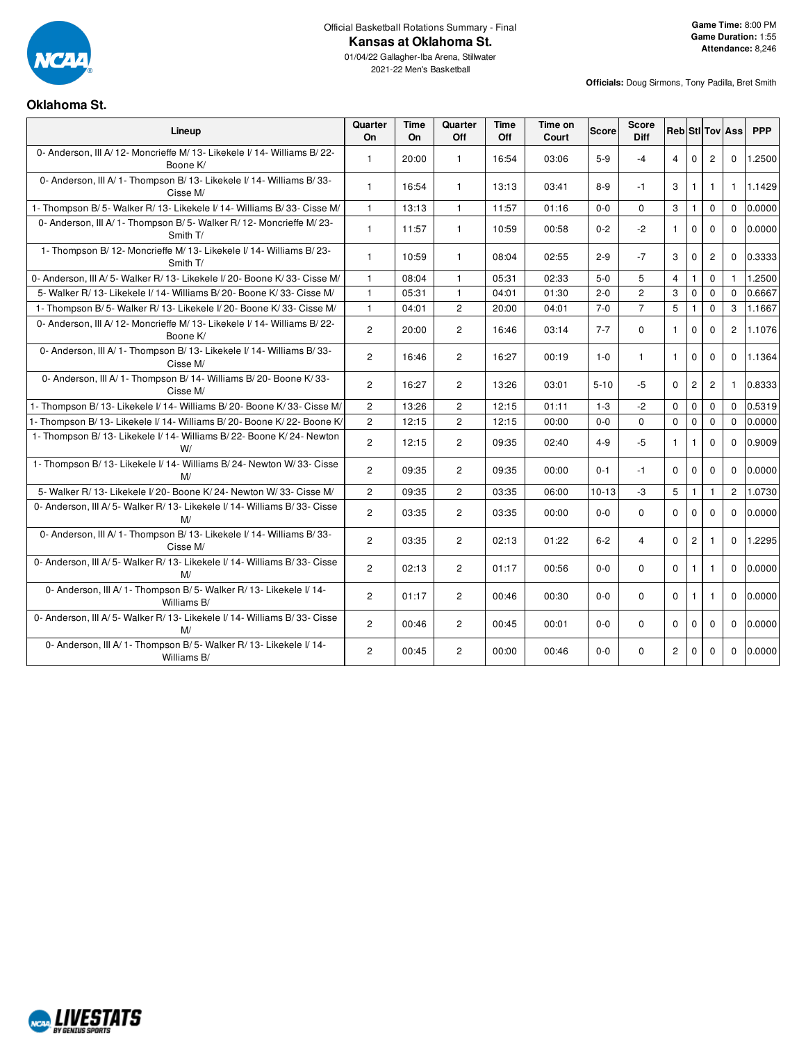

Official Basketball Rotations Summary - Final

01/04/22 Gallagher-Iba Arena, Stillwater 2021-22 Men's Basketball

**Officials:** Doug Sirmons, Tony Padilla, Bret Smith

### **Oklahoma St.**

| Lineup                                                                             | Quarter<br><b>On</b> | Time<br><b>On</b> | Quarter<br>Off        | Time<br>Off | Time on<br>Court | <b>Score</b> | Score<br><b>Diff</b> |                |                |                | <b>Reb</b> StI Tov Ass | <b>PPP</b> |
|------------------------------------------------------------------------------------|----------------------|-------------------|-----------------------|-------------|------------------|--------------|----------------------|----------------|----------------|----------------|------------------------|------------|
| 0- Anderson, III A/12- Moncrieffe M/13- Likekele I/14- Williams B/22-<br>Boone K/  | $\mathbf{1}$         | 20:00             | $\mathbf{1}$          | 16:54       | 03:06            | $5-9$        | $-4$                 | $\overline{4}$ | $\Omega$       | $\overline{2}$ | $\Omega$               | 1.2500     |
| 0- Anderson, III A/ 1- Thompson B/ 13- Likekele I/ 14- Williams B/ 33-<br>Cisse M/ | $\mathbf{1}$         | 16:54             | $\mathbf{1}$          | 13:13       | 03:41            | $8-9$        | $-1$                 | 3              | $\mathbf{1}$   | $\mathbf{1}$   | $\mathbf{1}$           | 1.1429     |
| 1- Thompson B/5- Walker R/13- Likekele I/14- Williams B/33- Cisse M/               | $\mathbf{1}$         | 13:13             | $\mathbf{1}$          | 11:57       | 01:16            | $0 - 0$      | $\Omega$             | 3              | $\mathbf{1}$   | $\mathbf 0$    | $\Omega$               | 0.0000     |
| 0- Anderson, III A/ 1- Thompson B/ 5- Walker R/ 12- Moncrieffe M/ 23-<br>Smith T/  | $\mathbf{1}$         | 11:57             | $\mathbf{1}$          | 10:59       | 00:58            | $0 - 2$      | $-2$                 | $\mathbf{1}$   | $\mathbf 0$    | $\Omega$       | $\Omega$               | 0.0000     |
| 1- Thompson B/12- Moncrieffe M/13- Likekele I/14- Williams B/23-<br>Smith T/       | $\mathbf{1}$         | 10:59             | $\mathbf{1}$          | 08:04       | 02:55            | $2 - 9$      | $-7$                 | 3              | $\mathbf 0$    | $\overline{c}$ | $\mathbf 0$            | 0.3333     |
| 0- Anderson, III A/ 5- Walker R/ 13- Likekele I/ 20- Boone K/ 33- Cisse M/         | $\mathbf{1}$         | 08:04             | $\mathbf{1}$          | 05:31       | 02:33            | $5-0$        | 5                    | $\overline{4}$ | $\mathbf{1}$   | $\mathbf 0$    | $\mathbf{1}$           | 1.2500     |
| 5- Walker R/ 13- Likekele I/ 14- Williams B/ 20- Boone K/ 33- Cisse M/             | $\mathbf{1}$         | 05:31             | $\mathbf{1}$          | 04:01       | 01:30            | $2 - 0$      | $\overline{2}$       | 3              | $\mathbf 0$    | $\Omega$       | $\Omega$               | 0.6667     |
| 1- Thompson B/5- Walker R/13- Likekele I/20- Boone K/33- Cisse M/                  | $\mathbf{1}$         | 04:01             | $\overline{2}$        | 20:00       | 04:01            | $7 - 0$      | $\overline{7}$       | 5              | $\mathbf{1}$   | $\mathbf 0$    | 3                      | 1.1667     |
| 0- Anderson, III A/12- Moncrieffe M/13- Likekele I/14- Williams B/22-<br>Boone K/  | $\overline{c}$       | 20:00             | $\overline{2}$        | 16:46       | 03:14            | $7 - 7$      | $\Omega$             | $\mathbf{1}$   | $\mathbf 0$    | $\Omega$       | $\overline{2}$         | 1.1076     |
| 0- Anderson, III A/ 1- Thompson B/ 13- Likekele I/ 14- Williams B/ 33-<br>Cisse M/ | $\mathbf{2}$         | 16:46             | $\overline{2}$        | 16:27       | 00:19            | $1-0$        | $\mathbf{1}$         | $\mathbf{1}$   | $\mathbf 0$    | $\Omega$       | $\Omega$               | 1.1364     |
| 0- Anderson, III A/ 1- Thompson B/ 14- Williams B/ 20- Boone K/ 33-<br>Cisse M/    | $\overline{2}$       | 16:27             | $\overline{2}$        | 13:26       | 03:01            | $5-10$       | $-5$                 | $\Omega$       | $\overline{c}$ | $\overline{c}$ | 1                      | 0.8333     |
| 1- Thompson B/ 13- Likekele I/ 14- Williams B/ 20- Boone K/ 33- Cisse M/           | $\mathbf{2}$         | 13:26             | $\overline{2}$        | 12:15       | 01:11            | $1 - 3$      | $-2$                 | $\mathbf 0$    | $\mathbf 0$    | $\mathbf 0$    | $\Omega$               | 0.5319     |
| - Thompson B/13- Likekele I/14- Williams B/20- Boone K/22- Boone K/                | $\mathbf{2}$         | 12:15             | $\overline{2}$        | 12:15       | 00:00            | $0 - 0$      | $\Omega$             | $\mathbf 0$    | $\mathbf{0}$   | $\mathbf 0$    | $\Omega$               | 0.0000     |
| 1- Thompson B/ 13- Likekele I/ 14- Williams B/ 22- Boone K/ 24- Newton<br>W/       | $\overline{2}$       | 12:15             | $\overline{2}$        | 09:35       | 02:40            | $4 - 9$      | $-5$                 | $\mathbf{1}$   | $\mathbf{1}$   | $\Omega$       | $\Omega$               | 0.9009     |
| 1- Thompson B/13- Likekele I/14- Williams B/24- Newton W/33- Cisse<br>M/           | $\overline{c}$       | 09:35             | $\overline{2}$        | 09:35       | 00:00            | $0 - 1$      | $-1$                 | $\mathbf 0$    | $\mathbf 0$    | $\mathbf 0$    | $\mathbf 0$            | 0.0000     |
| 5- Walker R/13- Likekele I/20- Boone K/24- Newton W/33- Cisse M/                   | $\overline{2}$       | 09:35             | $\overline{2}$        | 03:35       | 06:00            | $10 - 13$    | $-3$                 | 5              | $\mathbf{1}$   | $\mathbf{1}$   | $\overline{2}$         | 1.0730     |
| 0- Anderson, III A/5- Walker R/13- Likekele I/14- Williams B/33- Cisse<br>M/       | $\overline{2}$       | 03:35             | $\overline{2}$        | 03:35       | 00:00            | $0-0$        | $\Omega$             | $\Omega$       | $\mathbf 0$    | $\Omega$       | $\Omega$               | 0.0000     |
| 0- Anderson, III A/ 1- Thompson B/ 13- Likekele I/ 14- Williams B/ 33-<br>Cisse M/ | $\overline{2}$       | 03:35             | $\overline{2}$        | 02:13       | 01:22            | $6 - 2$      | $\overline{4}$       | $\mathbf 0$    | $\overline{c}$ | $\mathbf{1}$   | $\mathbf{0}$           | 1.2295     |
| 0- Anderson, III A/ 5- Walker R/ 13- Likekele I/ 14- Williams B/ 33- Cisse<br>M/   | $\overline{c}$       | 02:13             | $\overline{2}$        | 01:17       | 00:56            | $0-0$        | $\Omega$             | $\mathbf 0$    | $\mathbf{1}$   | $\mathbf{1}$   | $\Omega$               | 0.0000     |
| 0- Anderson, III A/ 1- Thompson B/ 5- Walker R/ 13- Likekele I/ 14-<br>Williams B/ | $\overline{2}$       | 01:17             | $\overline{2}$        | 00:46       | 00:30            | $0-0$        | $\Omega$             | $\Omega$       | $\mathbf{1}$   | $\mathbf{1}$   | $\Omega$               | 0.0000     |
| 0- Anderson, III A/5- Walker R/13- Likekele I/14- Williams B/33- Cisse<br>M/       | $\overline{2}$       | 00:46             | $\overline{2}$        | 00:45       | 00:01            | $0-0$        | $\Omega$             | $\Omega$       | $\mathbf 0$    | $\Omega$       | $\Omega$               | 0.0000     |
| 0- Anderson, III A/ 1- Thompson B/ 5- Walker R/ 13- Likekele I/ 14-<br>Williams B/ | $\mathbf{2}$         | 00:45             | $\mathbf{2}^{\prime}$ | 00:00       | 00:46            | $0-0$        | 0                    | $\mathbf{2}$   | $\mathbf 0$    | $\mathbf 0$    | $\mathbf{0}$           | 0.0000     |

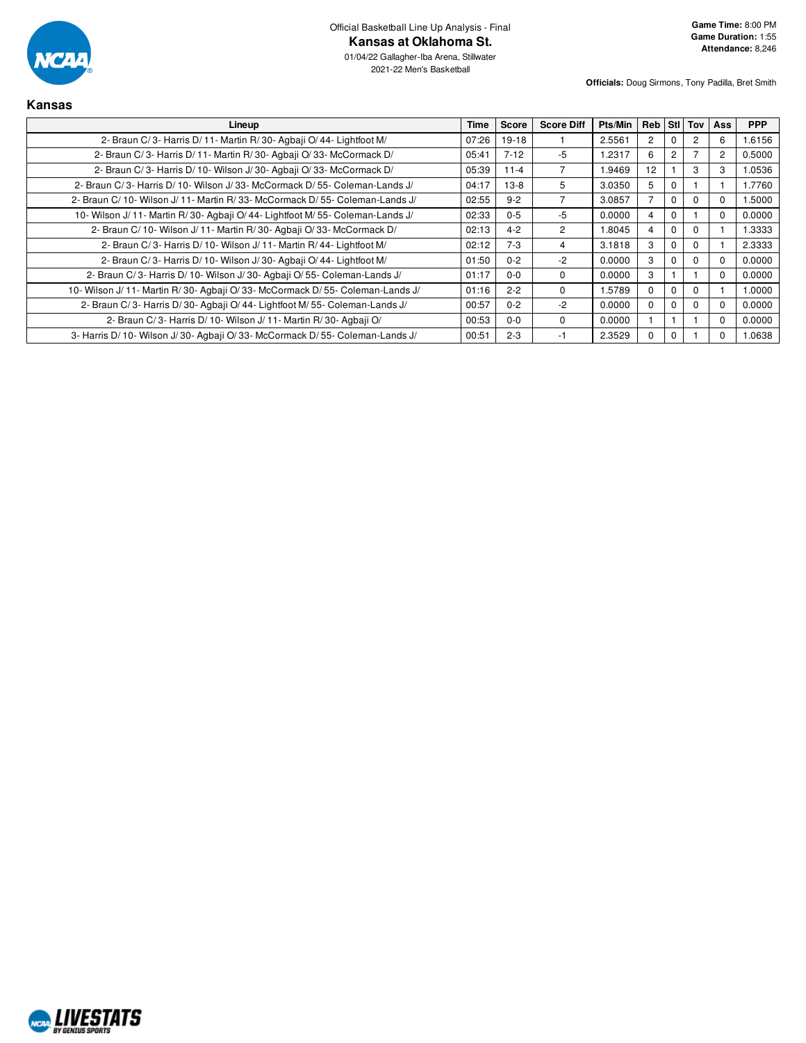

01/04/22 Gallagher-Iba Arena, Stillwater 2021-22 Men's Basketball

| <b>Kansas</b>                                                                  |       |              |                   |         |                |                |          |              |            |
|--------------------------------------------------------------------------------|-------|--------------|-------------------|---------|----------------|----------------|----------|--------------|------------|
| Lineup                                                                         | Time  | <b>Score</b> | <b>Score Diff</b> | Pts/Min | Reb Stl        |                | Tov      | Ass          | <b>PPP</b> |
| 2- Braun C/3- Harris D/11- Martin R/30- Agbaji O/44- Lightfoot M/              | 07:26 | $19-18$      |                   | 2.5561  | $\overline{2}$ | $\Omega$       | 2        | 6            | 1.6156     |
| 2- Braun C/3- Harris D/11- Martin R/30- Agbaii O/33- McCormack D/              | 05:41 | $7 - 12$     | -5                | 1.2317  | 6              | $\overline{c}$ |          | 2            | 0.5000     |
| 2- Braun C/3- Harris D/10- Wilson J/30- Agbaji O/33- McCormack D/              | 05:39 | $11 - 4$     |                   | 1.9469  | 12             |                | 3        | 3            | 1.0536     |
| 2- Braun C/3- Harris D/10- Wilson J/33- McCormack D/55- Coleman-Lands J/       | 04:17 | $13-8$       | 5                 | 3.0350  | 5              | $\mathbf 0$    |          |              | 1.7760     |
| 2- Braun C/10- Wilson J/11- Martin R/33- McCormack D/55- Coleman-Lands J/      | 02:55 | $9 - 2$      |                   | 3.0857  | 7              | $\Omega$       | $\Omega$ |              | 1.5000     |
| 10- Wilson J/ 11- Martin R/30- Agbaji O/ 44- Lightfoot M/ 55- Coleman-Lands J/ | 02:33 | $0 - 5$      | -5                | 0.0000  | 4              | $\mathbf 0$    |          | $\Omega$     | 0.0000     |
| 2- Braun C/10- Wilson J/11- Martin R/30- Agbaji O/33- McCormack D/             | 02:13 | $4 - 2$      | $\overline{2}$    | 1.8045  | 4              | $\Omega$       | $\Omega$ |              | 1.3333     |
| 2- Braun C/3- Harris D/10- Wilson J/11- Martin R/44- Lightfoot M/              | 02:12 | $7-3$        | 4                 | 3.1818  | 3              | $\Omega$       | 0        |              | 2.3333     |
| 2- Braun C/3- Harris D/10- Wilson J/30- Agbaii O/44- Lightfoot M/              | 01:50 | $0 - 2$      | $-2$              | 0.0000  | 3              | $\mathbf 0$    | $\Omega$ | $\Omega$     | 0.0000     |
| 2- Braun C/3- Harris D/10- Wilson J/30- Agbaji O/55- Coleman-Lands J/          | 01:17 | $0 - 0$      | $\Omega$          | 0.0000  | 3              |                |          | $\Omega$     | 0.0000     |
| 10- Wilson J/11- Martin R/30- Agbaji O/33- McCormack D/55- Coleman-Lands J/    | 01:16 | $2 - 2$      | 0                 | 1.5789  | $\Omega$       | $\mathbf 0$    | $\Omega$ |              | 1.0000     |
| 2- Braun C/3- Harris D/30- Agbaji O/44- Lightfoot M/55- Coleman-Lands J/       | 00:57 | $0 - 2$      | $-2$              | 0.0000  | $\Omega$       | $\mathbf 0$    | $\Omega$ | $\Omega$     | 0.0000     |
| 2- Braun C/3- Harris D/10- Wilson J/11- Martin R/30- Agbaji O/                 | 00:53 | $0 - 0$      | 0                 | 0.0000  |                |                |          | $\Omega$     | 0.0000     |
| 3- Harris D/10- Wilson J/30- Agbaji O/33- McCormack D/55- Coleman-Lands J/     | 00:51 | $2 - 3$      | -1                | 2.3529  | $\Omega$       | $\mathbf 0$    |          | <sup>0</sup> | 1.0638     |